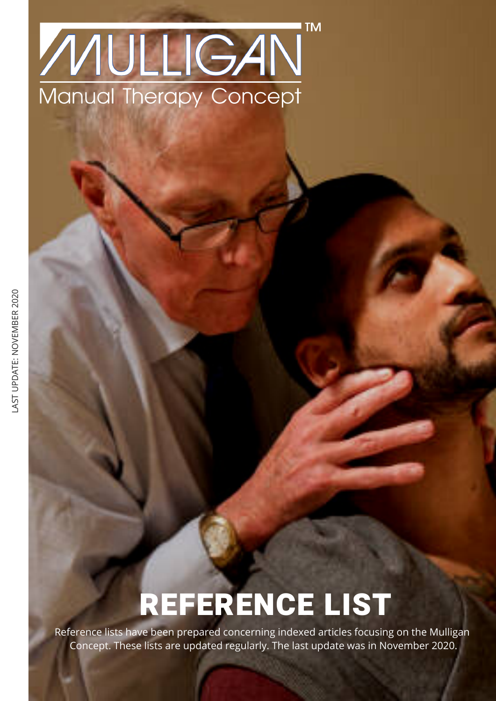## **TM** MULIGAN Manual Therapy Concept

# REFERENCE LIST

Reference lists have been prepared concerning indexed articles focusing on the Mulligan Concept. These lists are updated regularly. The last update was in November 2020.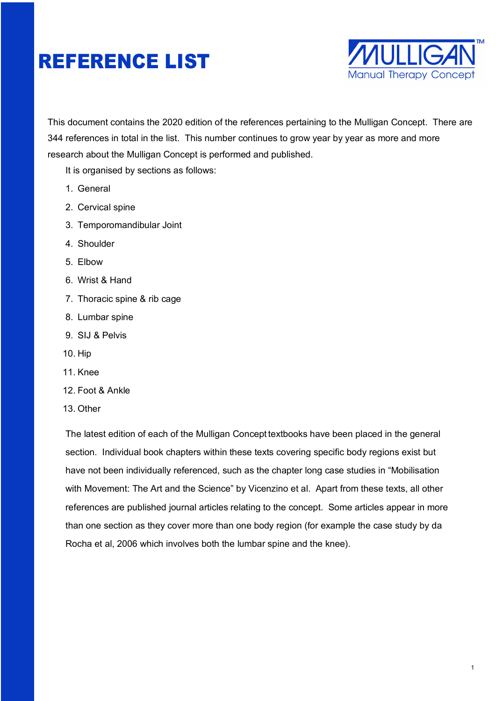

This document contains the 2020 edition of the references pertaining to the Mulligan Concept. There are 344 references in total in the list. This number continues to grow year by year as more and more research about the Mulligan Concept is performed and published.

It is organised by sections as follows:

- 1. General
- 2. Cervical spine
- 3. Temporomandibular Joint
- 4. Shoulder
- 5. Elbow
- 6. Wrist & Hand
- 7. Thoracic spine & rib cage
- 8. Lumbar spine
- 9. SIJ & Pelvis
- 10. Hip
- 11. Knee
- 12. Foot & Ankle
- 13. Other

The latest edition of each of the Mulligan Concept textbooks have been placed in the general section. Individual book chapters within these texts covering specific body regions exist but have not been individually referenced, such as the chapter long case studies in "Mobilisation with Movement: The Art and the Science" by Vicenzino et al. Apart from these texts, all other references are published journal articles relating to the concept. Some articles appear in more than one section as they cover more than one body region (for example the case study by da Rocha et al, 2006 which involves both the lumbar spine and the knee).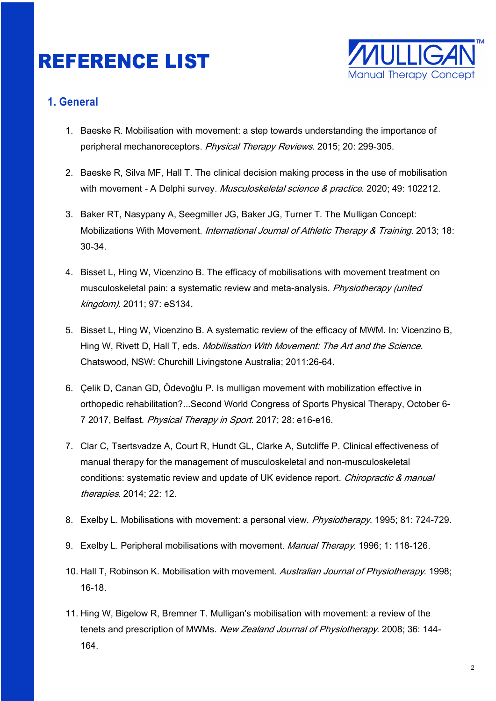

#### **1. General**

- 1. Baeske R. Mobilisation with movement: a step towards understanding the importance of peripheral mechanoreceptors. Physical Therapy Reviews. 2015; 20: 299-305.
- 2. Baeske R, Silva MF, Hall T. The clinical decision making process in the use of mobilisation with movement - A Delphi survey. Musculoskeletal science & practice. 2020; 49: 102212.
- 3. Baker RT, Nasypany A, Seegmiller JG, Baker JG, Turner T. The Mulligan Concept: Mobilizations With Movement. *International Journal of Athletic Therapy & Training*. 2013; 18: 30-34.
- 4. Bisset L, Hing W, Vicenzino B. The efficacy of mobilisations with movement treatment on musculoskeletal pain: a systematic review and meta-analysis. Physiotherapy (united kingdom). 2011; 97: eS134.
- 5. Bisset L, Hing W, Vicenzino B. A systematic review of the efficacy of MWM. In: Vicenzino B, Hing W, Rivett D, Hall T, eds. *Mobilisation With Movement: The Art and the Science.* Chatswood, NSW: Churchill Livingstone Australia; 2011:26-64.
- 6. Çelik D, Canan GD, Ödevoğlu P. Is mulligan movement with mobilization effective in orthopedic rehabilitation?...Second World Congress of Sports Physical Therapy, October 6- 7 2017, Belfast. Physical Therapy in Sport. 2017; 28: e16-e16.
- 7. Clar C, Tsertsvadze A, Court R, Hundt GL, Clarke A, Sutcliffe P. Clinical effectiveness of manual therapy for the management of musculoskeletal and non-musculoskeletal conditions: systematic review and update of UK evidence report. Chiropractic & manual therapies. 2014; 22: 12.
- 8. Exelby L. Mobilisations with movement: a personal view. Physiotherapy. 1995; 81: 724-729.
- 9. Exelby L. Peripheral mobilisations with movement. Manual Therapy. 1996; 1: 118-126.
- 10. Hall T, Robinson K. Mobilisation with movement. Australian Journal of Physiotherapy. 1998; 16-18.
- 11. Hing W, Bigelow R, Bremner T. Mulligan's mobilisation with movement: a review of the tenets and prescription of MWMs. New Zealand Journal of Physiotherapy. 2008; 36: 144-164.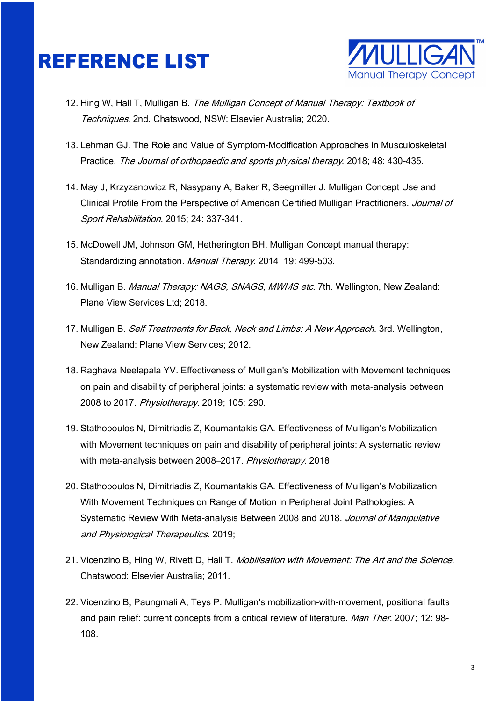

- 12. Hing W, Hall T, Mulligan B. The Mulligan Concept of Manual Therapy: Textbook of Techniques. 2nd. Chatswood, NSW: Elsevier Australia; 2020.
- 13. Lehman GJ. The Role and Value of Symptom-Modification Approaches in Musculoskeletal Practice. The Journal of orthopaedic and sports physical therapy. 2018; 48: 430-435.
- 14. May J, Krzyzanowicz R, Nasypany A, Baker R, Seegmiller J. Mulligan Concept Use and Clinical Profile From the Perspective of American Certified Mulligan Practitioners. Journal of Sport Rehabilitation. 2015; 24: 337-341.
- 15. McDowell JM, Johnson GM, Hetherington BH. Mulligan Concept manual therapy: Standardizing annotation. Manual Therapy. 2014; 19: 499-503.
- 16. Mulligan B. Manual Therapy: NAGS, SNAGS, MWMS etc. 7th. Wellington, New Zealand: Plane View Services Ltd; 2018.
- 17. Mulligan B. Self Treatments for Back, Neck and Limbs: A New Approach. 3rd. Wellington, New Zealand: Plane View Services; 2012.
- 18. Raghava Neelapala YV. Effectiveness of Mulligan's Mobilization with Movement techniques on pain and disability of peripheral joints: a systematic review with meta-analysis between 2008 to 2017. Physiotherapy. 2019; 105: 290.
- 19. Stathopoulos N, Dimitriadis Z, Koumantakis GA. Effectiveness of Mulligan's Mobilization with Movement techniques on pain and disability of peripheral joints: A systematic review with meta-analysis between 2008–2017. Physiotherapy. 2018;
- 20. Stathopoulos N, Dimitriadis Z, Koumantakis GA. Effectiveness of Mulligan's Mobilization With Movement Techniques on Range of Motion in Peripheral Joint Pathologies: A Systematic Review With Meta-analysis Between 2008 and 2018. Journal of Manipulative and Physiological Therapeutics. 2019;
- 21. Vicenzino B, Hing W, Rivett D, Hall T. Mobilisation with Movement: The Art and the Science. Chatswood: Elsevier Australia; 2011.
- 22. Vicenzino B, Paungmali A, Teys P. Mulligan's mobilization-with-movement, positional faults and pain relief: current concepts from a critical review of literature. Man Ther. 2007; 12: 98-108.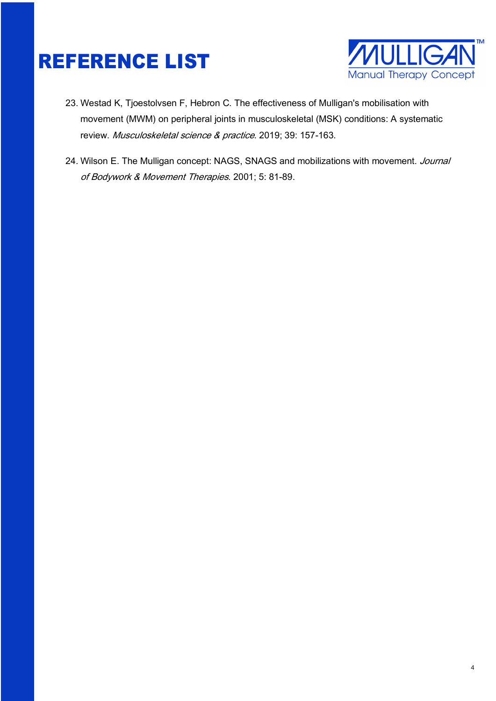

- 23. Westad K, Tjoestolvsen F, Hebron C. The effectiveness of Mulligan's mobilisation with movement (MWM) on peripheral joints in musculoskeletal (MSK) conditions: A systematic review. Musculoskeletal science & practice. 2019; 39: 157-163.
- 24. Wilson E. The Mulligan concept: NAGS, SNAGS and mobilizations with movement. Journal of Bodywork & Movement Therapies. 2001; 5: 81-89.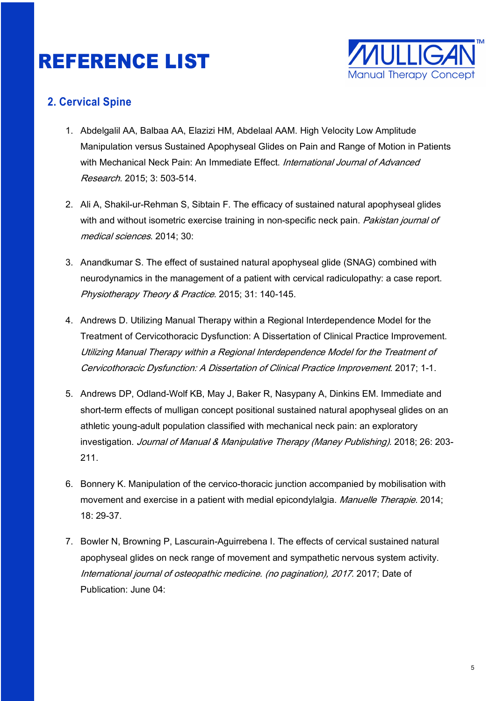

#### **2. Cervical Spine**

- 1. Abdelgalil AA, Balbaa AA, Elazizi HM, Abdelaal AAM. High Velocity Low Amplitude Manipulation versus Sustained Apophyseal Glides on Pain and Range of Motion in Patients with Mechanical Neck Pain: An Immediate Effect. International Journal of Advanced Research. 2015; 3: 503-514.
- 2. Ali A, Shakil-ur-Rehman S, Sibtain F. The efficacy of sustained natural apophyseal glides with and without isometric exercise training in non-specific neck pain. Pakistan journal of medical sciences. 2014; 30:
- 3. Anandkumar S. The effect of sustained natural apophyseal glide (SNAG) combined with neurodynamics in the management of a patient with cervical radiculopathy: a case report. Physiotherapy Theory & Practice. 2015; 31: 140-145.
- 4. Andrews D. Utilizing Manual Therapy within a Regional Interdependence Model for the Treatment of Cervicothoracic Dysfunction: A Dissertation of Clinical Practice Improvement. Utilizing Manual Therapy within a Regional Interdependence Model for the Treatment of Cervicothoracic Dysfunction: A Dissertation of Clinical Practice Improvement. 2017; 1-1.
- 5. Andrews DP, Odland-Wolf KB, May J, Baker R, Nasypany A, Dinkins EM. Immediate and short-term effects of mulligan concept positional sustained natural apophyseal glides on an athletic young-adult population classified with mechanical neck pain: an exploratory investigation. Journal of Manual & Manipulative Therapy (Maney Publishing). 2018; 26: 203-211.
- 6. Bonnery K. Manipulation of the cervico-thoracic junction accompanied by mobilisation with movement and exercise in a patient with medial epicondylalgia. Manuelle Therapie. 2014; 18: 29-37.
- 7. Bowler N, Browning P, Lascurain-Aguirrebena I. The effects of cervical sustained natural apophyseal glides on neck range of movement and sympathetic nervous system activity. International journal of osteopathic medicine. (no pagination), 2017. 2017; Date of Publication: June 04: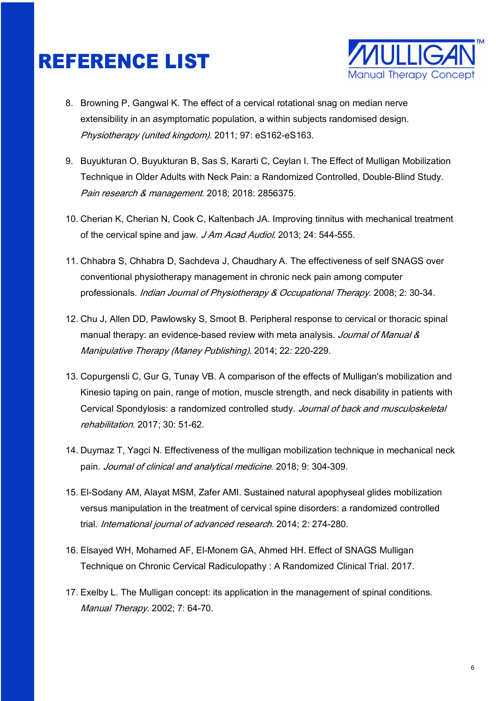

- 8. Browning P, Gangwal K. The effect of a cervical rotational snag on median nerve extensibility in an asymptomatic population, a within subjects randomised design. Physiotherapy (united kingdom). 2011; 97: eS162-eS163.
- 9. Buyukturan O, Buyukturan B, Sas S, Kararti C, Ceylan I. The Effect of Mulligan Mobilization Technique in Older Adults with Neck Pain: a Randomized Controlled, Double-Blind Study. Pain research & management. 2018; 2018: 2856375.
- 10. Cherian K, Cherian N, Cook C, Kaltenbach JA. Improving tinnitus with mechanical treatment of the cervical spine and jaw. J Am Acad Audiol. 2013; 24: 544-555.
- 11. Chhabra S, Chhabra D, Sachdeva J, Chaudhary A. The effectiveness of self SNAGS over conventional physiotherapy management in chronic neck pain among computer professionals. *Indian Journal of Physiotherapy & Occupational Therapy*. 2008; 2: 30-34.
- 12. Chu J, Allen DD, Pawlowsky S, Smoot B. Peripheral response to cervical or thoracic spinal manual therapy: an evidence-based review with meta analysis. Journal of Manual & Manipulative Therapy (Maney Publishing). 2014; 22: 220-229.
- 13. Copurgensli C, Gur G, Tunay VB. A comparison of the effects of Mulligan's mobilization and Kinesio taping on pain, range of motion, muscle strength, and neck disability in patients with Cervical Spondylosis: a randomized controlled study. Journal of back and musculoskeletal rehabilitation. 2017; 30: 51‐62.
- 14. Duymaz T, Yagci N. Effectiveness of the mulligan mobilization technique in mechanical neck pain. Journal of clinical and analytical medicine. 2018; 9: 304-309.
- 15. El-Sodany AM, Alayat MSM, Zafer AMI. Sustained natural apophyseal glides mobilization versus manipulation in the treatment of cervical spine disorders: a randomized controlled trial. International journal of advanced research. 2014; 2: 274‐280.
- 16. Elsayed WH, Mohamed AF, El-Monem GA, Ahmed HH. Effect of SNAGS Mulligan Technique on Chronic Cervical Radiculopathy : A Randomized Clinical Trial. 2017.
- 17. Exelby L. The Mulligan concept: its application in the management of spinal conditions. Manual Therapy. 2002; 7: 64-70.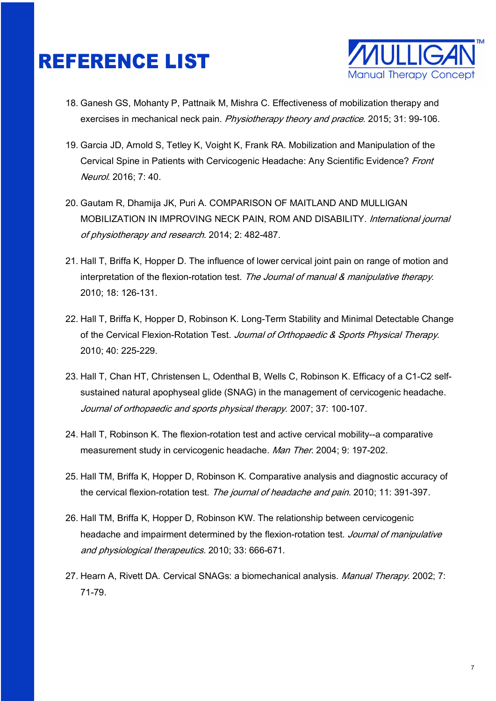

- 18. Ganesh GS, Mohanty P, Pattnaik M, Mishra C. Effectiveness of mobilization therapy and exercises in mechanical neck pain. Physiotherapy theory and practice. 2015; 31: 99-106.
- 19. Garcia JD, Arnold S, Tetley K, Voight K, Frank RA. Mobilization and Manipulation of the Cervical Spine in Patients with Cervicogenic Headache: Any Scientific Evidence? Front Neurol. 2016; 7: 40.
- 20. Gautam R, Dhamija JK, Puri A. COMPARISON OF MAITLAND AND MULLIGAN MOBILIZATION IN IMPROVING NECK PAIN, ROM AND DISABILITY. International journal of physiotherapy and research. 2014; 2: 482-487.
- 21. Hall T, Briffa K, Hopper D. The influence of lower cervical joint pain on range of motion and interpretation of the flexion-rotation test. The Journal of manual & manipulative therapy. 2010; 18: 126-131.
- 22. Hall T, Briffa K, Hopper D, Robinson K. Long-Term Stability and Minimal Detectable Change of the Cervical Flexion-Rotation Test. Journal of Orthopaedic & Sports Physical Therapy. 2010; 40: 225-229.
- 23. Hall T, Chan HT, Christensen L, Odenthal B, Wells C, Robinson K. Efficacy of a C1-C2 selfsustained natural apophyseal glide (SNAG) in the management of cervicogenic headache. Journal of orthopaedic and sports physical therapy. 2007; 37: 100-107.
- 24. Hall T, Robinson K. The flexion-rotation test and active cervical mobility--a comparative measurement study in cervicogenic headache. Man Ther. 2004; 9: 197-202.
- 25. Hall TM, Briffa K, Hopper D, Robinson K. Comparative analysis and diagnostic accuracy of the cervical flexion-rotation test. The journal of headache and pain. 2010; 11: 391-397.
- 26. Hall TM, Briffa K, Hopper D, Robinson KW. The relationship between cervicogenic headache and impairment determined by the flexion-rotation test. Journal of manipulative and physiological therapeutics. 2010; 33: 666-671.
- 27. Hearn A, Rivett DA. Cervical SNAGs: a biomechanical analysis. Manual Therapy. 2002; 7: 71-79.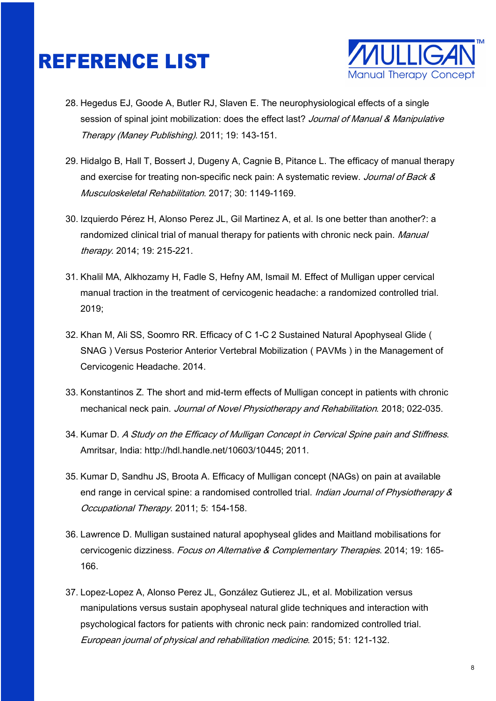

- 28. Hegedus EJ, Goode A, Butler RJ, Slaven E. The neurophysiological effects of a single session of spinal joint mobilization: does the effect last? Journal of Manual & Manipulative Therapy (Maney Publishing). 2011; 19: 143-151.
- 29. Hidalgo B, Hall T, Bossert J, Dugeny A, Cagnie B, Pitance L. The efficacy of manual therapy and exercise for treating non-specific neck pain: A systematic review. Journal of Back & Musculoskeletal Rehabilitation. 2017; 30: 1149-1169.
- 30. Izquierdo Pérez H, Alonso Perez JL, Gil Martinez A, et al. Is one better than another?: a randomized clinical trial of manual therapy for patients with chronic neck pain. Manual therapy. 2014; 19: 215-221.
- 31. Khalil MA, Alkhozamy H, Fadle S, Hefny AM, Ismail M. Effect of Mulligan upper cervical manual traction in the treatment of cervicogenic headache: a randomized controlled trial. 2019;
- 32. Khan M, Ali SS, Soomro RR. Efficacy of C 1-C 2 Sustained Natural Apophyseal Glide ( SNAG ) Versus Posterior Anterior Vertebral Mobilization ( PAVMs ) in the Management of Cervicogenic Headache. 2014.
- 33. Konstantinos Z. The short and mid-term effects of Mulligan concept in patients with chronic mechanical neck pain. Journal of Novel Physiotherapy and Rehabilitation. 2018; 022-035.
- 34. Kumar D. A Study on the Efficacy of Mulligan Concept in Cervical Spine pain and Stiffness. Amritsar, India: http://hdl.handle.net/10603/10445; 2011.
- 35. Kumar D, Sandhu JS, Broota A. Efficacy of Mulligan concept (NAGs) on pain at available end range in cervical spine: a randomised controlled trial. *Indian Journal of Physiotherapy &* Occupational Therapy. 2011; 5: 154-158.
- 36. Lawrence D. Mulligan sustained natural apophyseal glides and Maitland mobilisations for cervicogenic dizziness. Focus on Alternative & Complementary Therapies. 2014; 19: 165-166.
- 37. Lopez-Lopez A, Alonso Perez JL, González Gutierez JL, et al. Mobilization versus manipulations versus sustain apophyseal natural glide techniques and interaction with psychological factors for patients with chronic neck pain: randomized controlled trial. European journal of physical and rehabilitation medicine. 2015; 51: 121‐132.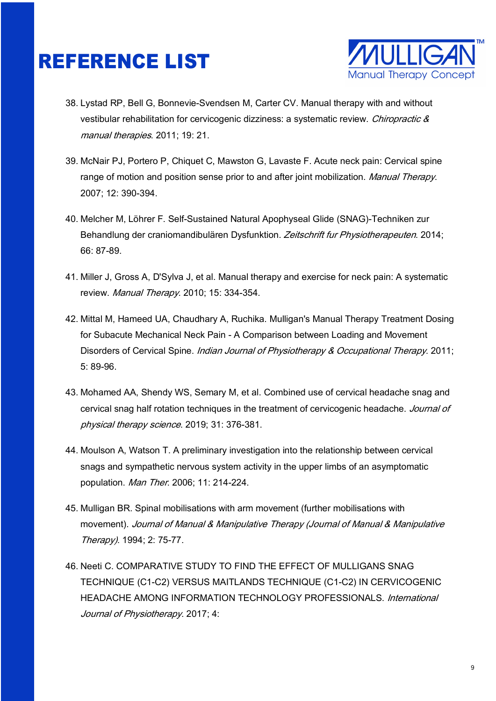

- 38. Lystad RP, Bell G, Bonnevie-Svendsen M, Carter CV. Manual therapy with and without vestibular rehabilitation for cervicogenic dizziness: a systematic review. Chiropractic & manual therapies. 2011; 19: 21.
- 39. McNair PJ, Portero P, Chiquet C, Mawston G, Lavaste F. Acute neck pain: Cervical spine range of motion and position sense prior to and after joint mobilization. Manual Therapy. 2007; 12: 390-394.
- 40. Melcher M, Löhrer F. Self-Sustained Natural Apophyseal Glide (SNAG)-Techniken zur Behandlung der craniomandibulären Dysfunktion. Zeitschrift fur Physiotherapeuten. 2014; 66: 87-89.
- 41. Miller J, Gross A, D'Sylva J, et al. Manual therapy and exercise for neck pain: A systematic review. Manual Therapy. 2010; 15: 334-354.
- 42. Mittal M, Hameed UA, Chaudhary A, Ruchika. Mulligan's Manual Therapy Treatment Dosing for Subacute Mechanical Neck Pain - A Comparison between Loading and Movement Disorders of Cervical Spine. Indian Journal of Physiotherapy & Occupational Therapy. 2011; 5: 89-96.
- 43. Mohamed AA, Shendy WS, Semary M, et al. Combined use of cervical headache snag and cervical snag half rotation techniques in the treatment of cervicogenic headache. Journal of physical therapy science. 2019; 31: 376-381.
- 44. Moulson A, Watson T. A preliminary investigation into the relationship between cervical snags and sympathetic nervous system activity in the upper limbs of an asymptomatic population. Man Ther. 2006; 11: 214-224.
- 45. Mulligan BR. Spinal mobilisations with arm movement (further mobilisations with movement). Journal of Manual & Manipulative Therapy (Journal of Manual & Manipulative Therapy). 1994; 2: 75-77.
- 46. Neeti C. COMPARATIVE STUDY TO FIND THE EFFECT OF MULLIGANS SNAG TECHNIQUE (C1-C2) VERSUS MAITLANDS TECHNIQUE (C1-C2) IN CERVICOGENIC HEADACHE AMONG INFORMATION TECHNOLOGY PROFESSIONALS. International Journal of Physiotherapy. 2017; 4: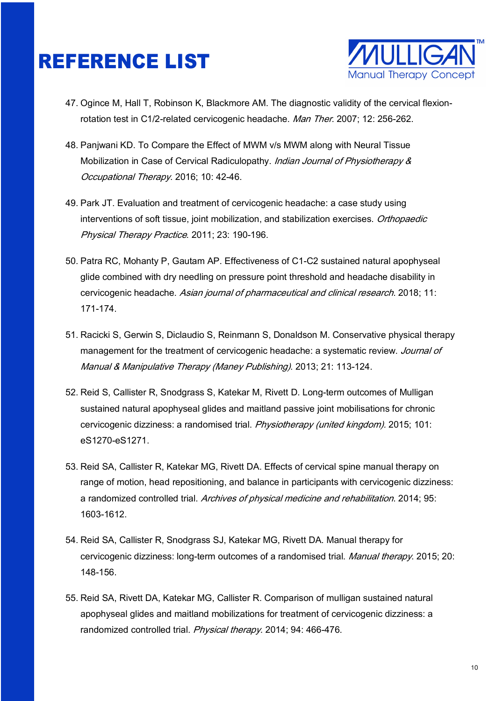

- 47. Ogince M, Hall T, Robinson K, Blackmore AM. The diagnostic validity of the cervical flexionrotation test in C1/2-related cervicogenic headache. Man Ther. 2007; 12: 256-262.
- 48. Panjwani KD. To Compare the Effect of MWM v/s MWM along with Neural Tissue Mobilization in Case of Cervical Radiculopathy. *Indian Journal of Physiotherapy &* Occupational Therapy. 2016; 10: 42-46.
- 49. Park JT. Evaluation and treatment of cervicogenic headache: a case study using interventions of soft tissue, joint mobilization, and stabilization exercises. Orthopaedic Physical Therapy Practice. 2011; 23: 190-196.
- 50. Patra RC, Mohanty P, Gautam AP. Effectiveness of C1-C2 sustained natural apophyseal glide combined with dry needling on pressure point threshold and headache disability in cervicogenic headache. Asian journal of pharmaceutical and clinical research. 2018; 11: 171‐174.
- 51. Racicki S, Gerwin S, Diclaudio S, Reinmann S, Donaldson M. Conservative physical therapy management for the treatment of cervicogenic headache: a systematic review. Journal of Manual & Manipulative Therapy (Maney Publishing). 2013; 21: 113-124.
- 52. Reid S, Callister R, Snodgrass S, Katekar M, Rivett D. Long-term outcomes of Mulligan sustained natural apophyseal glides and maitland passive joint mobilisations for chronic cervicogenic dizziness: a randomised trial. Physiotherapy (united kingdom). 2015; 101: eS1270‐eS1271.
- 53. Reid SA, Callister R, Katekar MG, Rivett DA. Effects of cervical spine manual therapy on range of motion, head repositioning, and balance in participants with cervicogenic dizziness: a randomized controlled trial. Archives of physical medicine and rehabilitation. 2014; 95: 1603‐1612.
- 54. Reid SA, Callister R, Snodgrass SJ, Katekar MG, Rivett DA. Manual therapy for cervicogenic dizziness: long-term outcomes of a randomised trial. Manual therapy. 2015; 20: 148‐156.
- 55. Reid SA, Rivett DA, Katekar MG, Callister R. Comparison of mulligan sustained natural apophyseal glides and maitland mobilizations for treatment of cervicogenic dizziness: a randomized controlled trial. Physical therapy. 2014; 94: 466-476.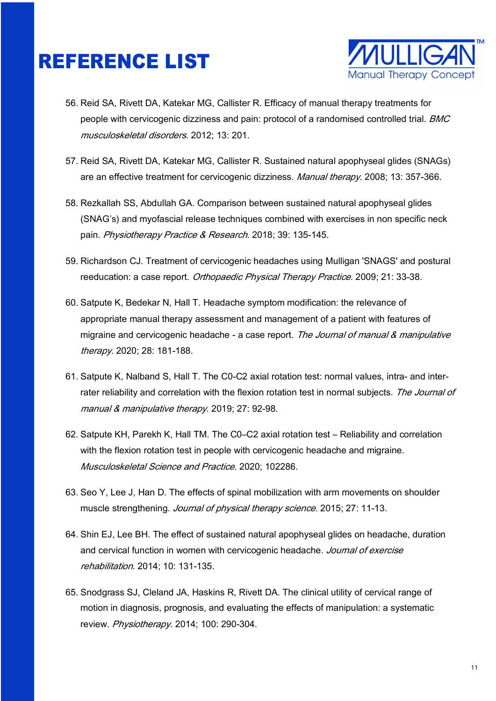

- 56. Reid SA, Rivett DA, Katekar MG, Callister R. Efficacy of manual therapy treatments for people with cervicogenic dizziness and pain: protocol of a randomised controlled trial. BMC musculoskeletal disorders. 2012; 13: 201.
- 57. Reid SA, Rivett DA, Katekar MG, Callister R. Sustained natural apophyseal glides (SNAGs) are an effective treatment for cervicogenic dizziness. Manual therapy. 2008; 13: 357-366.
- 58. Rezkallah SS, Abdullah GA. Comparison between sustained natural apophyseal glides (SNAG's) and myofascial release techniques combined with exercises in non specific neck pain. Physiotherapy Practice & Research. 2018; 39: 135-145.
- 59. Richardson CJ. Treatment of cervicogenic headaches using Mulligan 'SNAGS' and postural reeducation: a case report. Orthopaedic Physical Therapy Practice. 2009; 21: 33-38.
- 60. Satpute K, Bedekar N, Hall T. Headache symptom modification: the relevance of appropriate manual therapy assessment and management of a patient with features of migraine and cervicogenic headache - a case report. The Journal of manual & manipulative therapy. 2020; 28: 181-188.
- 61. Satpute K, Nalband S, Hall T. The C0-C2 axial rotation test: normal values, intra- and interrater reliability and correlation with the flexion rotation test in normal subjects. The Journal of manual & manipulative therapy. 2019; 27: 92-98.
- 62. Satpute KH, Parekh K, Hall TM. The C0–C2 axial rotation test Reliability and correlation with the flexion rotation test in people with cervicogenic headache and migraine. Musculoskeletal Science and Practice. 2020; 102286.
- 63. Seo Y, Lee J, Han D. The effects of spinal mobilization with arm movements on shoulder muscle strengthening. Journal of physical therapy science. 2015; 27: 11-13.
- 64. Shin EJ, Lee BH. The effect of sustained natural apophyseal glides on headache, duration and cervical function in women with cervicogenic headache. Journal of exercise rehabilitation. 2014; 10: 131-135.
- 65. Snodgrass SJ, Cleland JA, Haskins R, Rivett DA. The clinical utility of cervical range of motion in diagnosis, prognosis, and evaluating the effects of manipulation: a systematic review. Physiotherapy. 2014; 100: 290-304.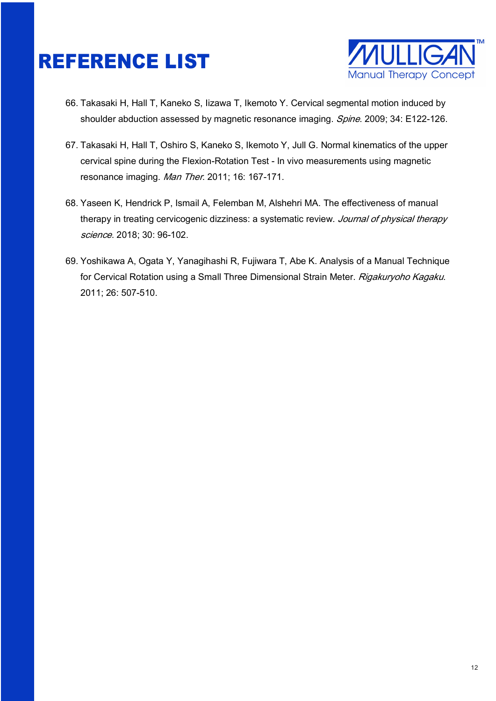

- 66. Takasaki H, Hall T, Kaneko S, Iizawa T, Ikemoto Y. Cervical segmental motion induced by shoulder abduction assessed by magnetic resonance imaging. Spine. 2009; 34: E122-126.
- 67. Takasaki H, Hall T, Oshiro S, Kaneko S, Ikemoto Y, Jull G. Normal kinematics of the upper cervical spine during the Flexion-Rotation Test - In vivo measurements using magnetic resonance imaging. Man Ther. 2011; 16: 167-171.
- 68. Yaseen K, Hendrick P, Ismail A, Felemban M, Alshehri MA. The effectiveness of manual therapy in treating cervicogenic dizziness: a systematic review. Journal of physical therapy science. 2018; 30: 96-102.
- 69. Yoshikawa A, Ogata Y, Yanagihashi R, Fujiwara T, Abe K. Analysis of a Manual Technique for Cervical Rotation using a Small Three Dimensional Strain Meter. Rigakuryoho Kagaku. 2011; 26: 507-510.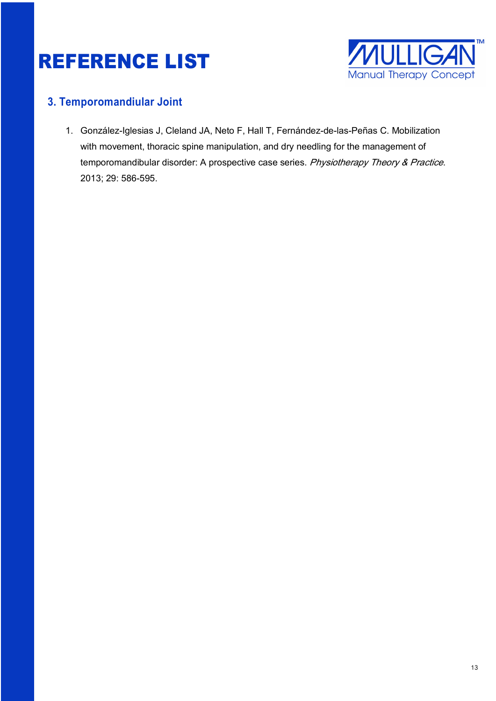

#### **3. Temporomandiular Joint**

1. González-Iglesias J, Cleland JA, Neto F, Hall T, Fernández-de-las-Peñas C. Mobilization with movement, thoracic spine manipulation, and dry needling for the management of temporomandibular disorder: A prospective case series. Physiotherapy Theory & Practice. 2013; 29: 586-595.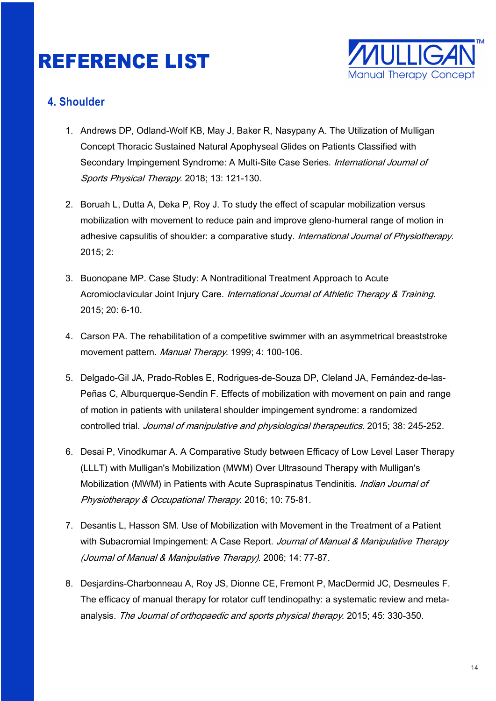

#### **4. Shoulder**

- 1. Andrews DP, Odland-Wolf KB, May J, Baker R, Nasypany A. The Utilization of Mulligan Concept Thoracic Sustained Natural Apophyseal Glides on Patients Classified with Secondary Impingement Syndrome: A Multi-Site Case Series. International Journal of Sports Physical Therapy. 2018; 13: 121-130.
- 2. Boruah L, Dutta A, Deka P, Roy J. To study the effect of scapular mobilization versus mobilization with movement to reduce pain and improve gleno-humeral range of motion in adhesive capsulitis of shoulder: a comparative study. International Journal of Physiotherapy. 2015; 2:
- 3. Buonopane MP. Case Study: A Nontraditional Treatment Approach to Acute Acromioclavicular Joint Injury Care. *International Journal of Athletic Therapy & Training*. 2015; 20: 6-10.
- 4. Carson PA. The rehabilitation of a competitive swimmer with an asymmetrical breaststroke movement pattern. Manual Therapy. 1999; 4: 100-106.
- 5. Delgado-Gil JA, Prado-Robles E, Rodrigues-de-Souza DP, Cleland JA, Fernández-de-las-Peñas C, Alburquerque-Sendín F. Effects of mobilization with movement on pain and range of motion in patients with unilateral shoulder impingement syndrome: a randomized controlled trial. Journal of manipulative and physiological therapeutics. 2015; 38: 245‐252.
- 6. Desai P, Vinodkumar A. A Comparative Study between Efficacy of Low Level Laser Therapy (LLLT) with Mulligan's Mobilization (MWM) Over Ultrasound Therapy with Mulligan's Mobilization (MWM) in Patients with Acute Supraspinatus Tendinitis. *Indian Journal of* Physiotherapy & Occupational Therapy. 2016; 10: 75-81.
- 7. Desantis L, Hasson SM. Use of Mobilization with Movement in the Treatment of a Patient with Subacromial Impingement: A Case Report. Journal of Manual & Manipulative Therapy (Journal of Manual & Manipulative Therapy). 2006; 14: 77-87.
- 8. Desjardins-Charbonneau A, Roy JS, Dionne CE, Fremont P, MacDermid JC, Desmeules F. The efficacy of manual therapy for rotator cuff tendinopathy: a systematic review and metaanalysis. The Journal of orthopaedic and sports physical therapy. 2015; 45: 330-350.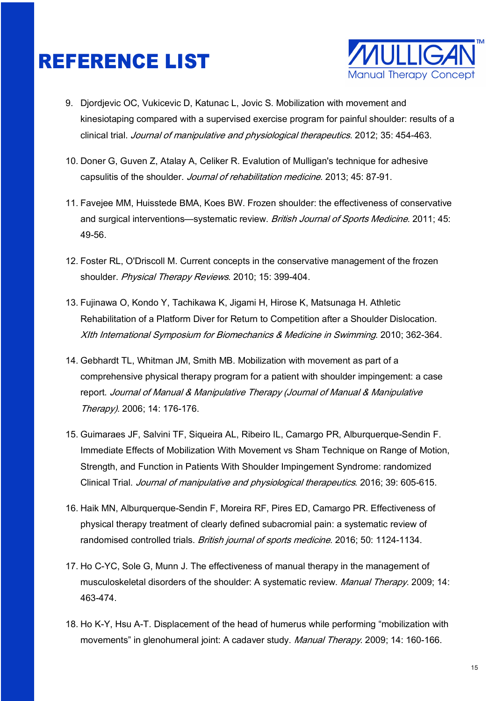

- 9. Djordjevic OC, Vukicevic D, Katunac L, Jovic S. Mobilization with movement and kinesiotaping compared with a supervised exercise program for painful shoulder: results of a clinical trial. Journal of manipulative and physiological therapeutics. 2012; 35: 454‐463.
- 10. Doner G, Guven Z, Atalay A, Celiker R. Evalution of Mulligan's technique for adhesive capsulitis of the shoulder. Journal of rehabilitation medicine. 2013; 45: 87-91.
- 11. Favejee MM, Huisstede BMA, Koes BW. Frozen shoulder: the effectiveness of conservative and surgical interventions—systematic review. British Journal of Sports Medicine. 2011; 45: 49-56.
- 12. Foster RL, O'Driscoll M. Current concepts in the conservative management of the frozen shoulder. Physical Therapy Reviews. 2010; 15: 399-404.
- 13. Fujinawa O, Kondo Y, Tachikawa K, Jigami H, Hirose K, Matsunaga H. Athletic Rehabilitation of a Platform Diver for Return to Competition after a Shoulder Dislocation. XIth International Symposium for Biomechanics & Medicine in Swimming. 2010; 362-364.
- 14. Gebhardt TL, Whitman JM, Smith MB. Mobilization with movement as part of a comprehensive physical therapy program for a patient with shoulder impingement: a case report. Journal of Manual & Manipulative Therapy (Journal of Manual & Manipulative Therapy). 2006; 14: 176-176.
- 15. Guimaraes JF, Salvini TF, Siqueira AL, Ribeiro IL, Camargo PR, Alburquerque-Sendin F. Immediate Effects of Mobilization With Movement vs Sham Technique on Range of Motion, Strength, and Function in Patients With Shoulder Impingement Syndrome: randomized Clinical Trial. Journal of manipulative and physiological therapeutics. 2016; 39: 605‐615.
- 16. Haik MN, Alburquerque-Sendin F, Moreira RF, Pires ED, Camargo PR. Effectiveness of physical therapy treatment of clearly defined subacromial pain: a systematic review of randomised controlled trials. *British journal of sports medicine*. 2016; 50: 1124-1134.
- 17. Ho C-YC, Sole G, Munn J. The effectiveness of manual therapy in the management of musculoskeletal disorders of the shoulder: A systematic review. Manual Therapy. 2009; 14: 463-474.
- 18. Ho K-Y, Hsu A-T. Displacement of the head of humerus while performing "mobilization with movements" in glenohumeral joint: A cadaver study. *Manual Therapy*. 2009; 14: 160-166.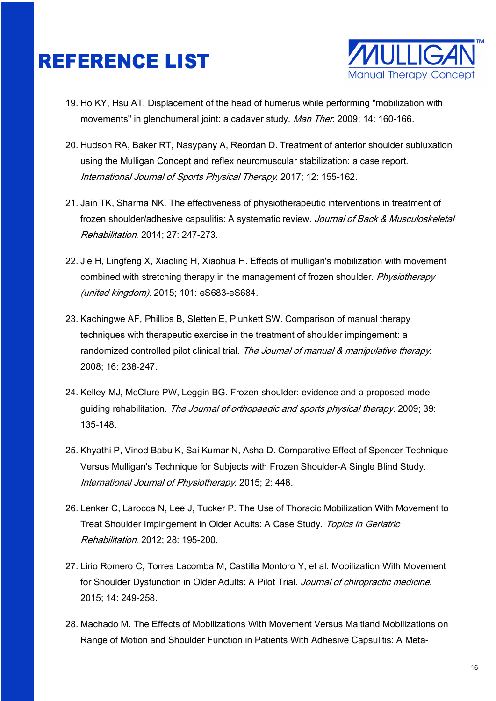

- 19. Ho KY, Hsu AT. Displacement of the head of humerus while performing "mobilization with movements" in glenohumeral joint: a cadaver study. Man Ther. 2009; 14: 160-166.
- 20. Hudson RA, Baker RT, Nasypany A, Reordan D. Treatment of anterior shoulder subluxation using the Mulligan Concept and reflex neuromuscular stabilization: a case report. International Journal of Sports Physical Therapy. 2017; 12: 155-162.
- 21. Jain TK, Sharma NK. The effectiveness of physiotherapeutic interventions in treatment of frozen shoulder/adhesive capsulitis: A systematic review. Journal of Back & Musculoskeletal Rehabilitation. 2014; 27: 247-273.
- 22. Jie H, Lingfeng X, Xiaoling H, Xiaohua H. Effects of mulligan's mobilization with movement combined with stretching therapy in the management of frozen shoulder. Physiotherapy (united kingdom). 2015; 101: eS683‐eS684.
- 23. Kachingwe AF, Phillips B, Sletten E, Plunkett SW. Comparison of manual therapy techniques with therapeutic exercise in the treatment of shoulder impingement: a randomized controlled pilot clinical trial. The Journal of manual & manipulative therapy. 2008; 16: 238-247.
- 24. Kelley MJ, McClure PW, Leggin BG. Frozen shoulder: evidence and a proposed model guiding rehabilitation. The Journal of orthopaedic and sports physical therapy. 2009; 39: 135-148.
- 25. Khyathi P, Vinod Babu K, Sai Kumar N, Asha D. Comparative Effect of Spencer Technique Versus Mulligan's Technique for Subjects with Frozen Shoulder-A Single Blind Study. International Journal of Physiotherapy. 2015; 2: 448.
- 26. Lenker C, Larocca N, Lee J, Tucker P. The Use of Thoracic Mobilization With Movement to Treat Shoulder Impingement in Older Adults: A Case Study. Topics in Geriatric Rehabilitation. 2012; 28: 195-200.
- 27. Lirio Romero C, Torres Lacomba M, Castilla Montoro Y, et al. Mobilization With Movement for Shoulder Dysfunction in Older Adults: A Pilot Trial. Journal of chiropractic medicine. 2015; 14: 249-258.
- 28. Machado M. The Effects of Mobilizations With Movement Versus Maitland Mobilizations on Range of Motion and Shoulder Function in Patients With Adhesive Capsulitis: A Meta-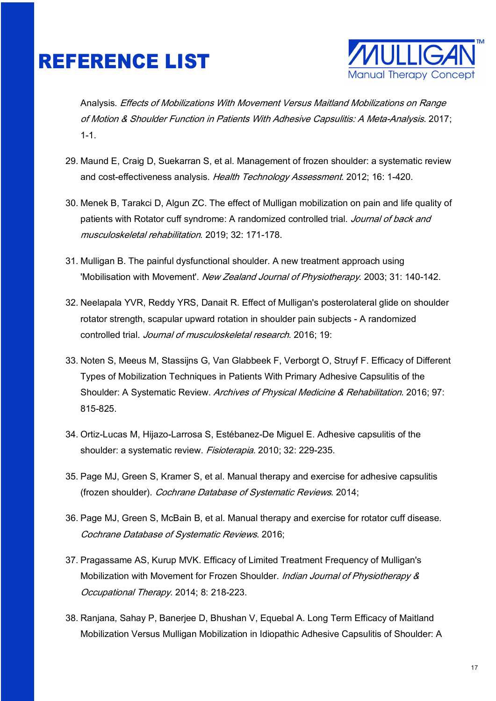

Analysis. Effects of Mobilizations With Movement Versus Maitland Mobilizations on Range of Motion & Shoulder Function in Patients With Adhesive Capsulitis: A Meta-Analysis. 2017; 1-1.

- 29. Maund E, Craig D, Suekarran S, et al. Management of frozen shoulder: a systematic review and cost-effectiveness analysis. Health Technology Assessment. 2012; 16: 1-420.
- 30. Menek B, Tarakci D, Algun ZC. The effect of Mulligan mobilization on pain and life quality of patients with Rotator cuff syndrome: A randomized controlled trial. Journal of back and musculoskeletal rehabilitation. 2019; 32: 171-178.
- 31. Mulligan B. The painful dysfunctional shoulder. A new treatment approach using 'Mobilisation with Movement'. New Zealand Journal of Physiotherapy. 2003; 31: 140-142.
- 32. Neelapala YVR, Reddy YRS, Danait R. Effect of Mulligan's posterolateral glide on shoulder rotator strength, scapular upward rotation in shoulder pain subjects - A randomized controlled trial. Journal of musculoskeletal research. 2016; 19:
- 33. Noten S, Meeus M, Stassijns G, Van Glabbeek F, Verborgt O, Struyf F. Efficacy of Different Types of Mobilization Techniques in Patients With Primary Adhesive Capsulitis of the Shoulder: A Systematic Review. Archives of Physical Medicine & Rehabilitation. 2016; 97: 815-825.
- 34. Ortiz-Lucas M, Hijazo-Larrosa S, Estébanez-De Miguel E. Adhesive capsulitis of the shoulder: a systematic review. Fisioterapia. 2010; 32: 229-235.
- 35. Page MJ, Green S, Kramer S, et al. Manual therapy and exercise for adhesive capsulitis (frozen shoulder). Cochrane Database of Systematic Reviews. 2014;
- 36. Page MJ, Green S, McBain B, et al. Manual therapy and exercise for rotator cuff disease. Cochrane Database of Systematic Reviews. 2016;
- 37. Pragassame AS, Kurup MVK. Efficacy of Limited Treatment Frequency of Mulligan's Mobilization with Movement for Frozen Shoulder. Indian Journal of Physiotherapy & Occupational Therapy. 2014; 8: 218-223.
- 38. Ranjana, Sahay P, Banerjee D, Bhushan V, Equebal A. Long Term Efficacy of Maitland Mobilization Versus Mulligan Mobilization in Idiopathic Adhesive Capsulitis of Shoulder: A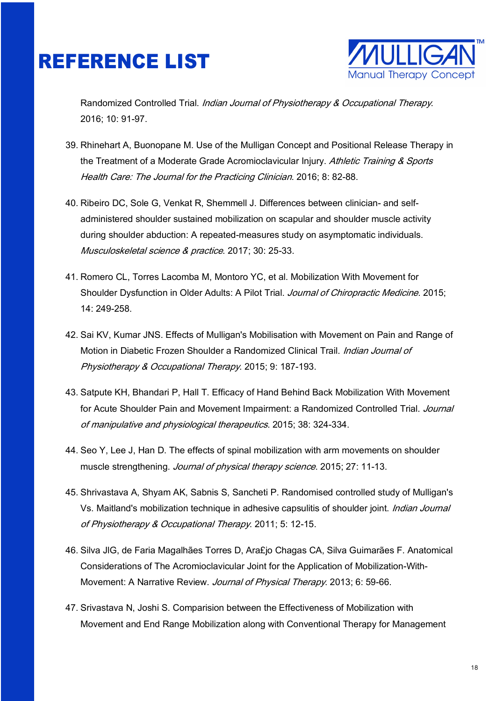

Randomized Controlled Trial. Indian Journal of Physiotherapy & Occupational Therapy. 2016; 10: 91-97.

- 39. Rhinehart A, Buonopane M. Use of the Mulligan Concept and Positional Release Therapy in the Treatment of a Moderate Grade Acromioclavicular Injury. Athletic Training & Sports Health Care: The Journal for the Practicing Clinician. 2016; 8: 82-88.
- 40. Ribeiro DC, Sole G, Venkat R, Shemmell J. Differences between clinician- and selfadministered shoulder sustained mobilization on scapular and shoulder muscle activity during shoulder abduction: A repeated-measures study on asymptomatic individuals. Musculoskeletal science & practice. 2017; 30: 25-33.
- 41. Romero CL, Torres Lacomba M, Montoro YC, et al. Mobilization With Movement for Shoulder Dysfunction in Older Adults: A Pilot Trial. Journal of Chiropractic Medicine. 2015; 14: 249-258.
- 42. Sai KV, Kumar JNS. Effects of Mulligan's Mobilisation with Movement on Pain and Range of Motion in Diabetic Frozen Shoulder a Randomized Clinical Trail. Indian Journal of Physiotherapy & Occupational Therapy. 2015; 9: 187-193.
- 43. Satpute KH, Bhandari P, Hall T. Efficacy of Hand Behind Back Mobilization With Movement for Acute Shoulder Pain and Movement Impairment: a Randomized Controlled Trial. Journal of manipulative and physiological therapeutics. 2015; 38: 324‐334.
- 44. Seo Y, Lee J, Han D. The effects of spinal mobilization with arm movements on shoulder muscle strengthening. Journal of physical therapy science. 2015; 27: 11-13.
- 45. Shrivastava A, Shyam AK, Sabnis S, Sancheti P. Randomised controlled study of Mulligan's Vs. Maitland's mobilization technique in adhesive capsulitis of shoulder joint. *Indian Journal* of Physiotherapy & Occupational Therapy. 2011; 5: 12-15.
- 46. Silva JlG, de Faria Magalhães Torres D, Ara£jo Chagas CA, Silva Guimarães F. Anatomical Considerations of The Acromioclavicular Joint for the Application of Mobilization-With-Movement: A Narrative Review. Journal of Physical Therapy. 2013; 6: 59-66.
- 47. Srivastava N, Joshi S. Comparision between the Effectiveness of Mobilization with Movement and End Range Mobilization along with Conventional Therapy for Management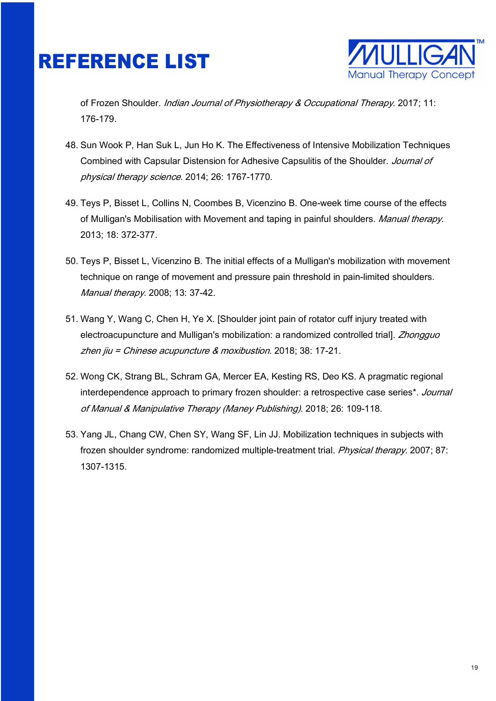

of Frozen Shoulder. *Indian Journal of Physiotherapy & Occupational Therapy*. 2017; 11: 176-179.

- 48. Sun Wook P, Han Suk L, Jun Ho K. The Effectiveness of Intensive Mobilization Techniques Combined with Capsular Distension for Adhesive Capsulitis of the Shoulder. Journal of physical therapy science. 2014; 26: 1767-1770.
- 49. Teys P, Bisset L, Collins N, Coombes B, Vicenzino B. One-week time course of the effects of Mulligan's Mobilisation with Movement and taping in painful shoulders. Manual therapy. 2013; 18: 372‐377.
- 50. Teys P, Bisset L, Vicenzino B. The initial effects of a Mulligan's mobilization with movement technique on range of movement and pressure pain threshold in pain-limited shoulders. Manual therapy. 2008; 13: 37‐42.
- 51. Wang Y, Wang C, Chen H, Ye X. [Shoulder joint pain of rotator cuff injury treated with electroacupuncture and Mulligan's mobilization: a randomized controlled trial]. Zhongguo zhen jiu = Chinese acupuncture & moxibustion. 2018; 38: 17-21.
- 52. Wong CK, Strang BL, Schram GA, Mercer EA, Kesting RS, Deo KS. A pragmatic regional interdependence approach to primary frozen shoulder: a retrospective case series\*. Journal of Manual & Manipulative Therapy (Maney Publishing). 2018; 26: 109-118.
- 53. Yang JL, Chang CW, Chen SY, Wang SF, Lin JJ. Mobilization techniques in subjects with frozen shoulder syndrome: randomized multiple-treatment trial. Physical therapy. 2007; 87: 1307‐1315.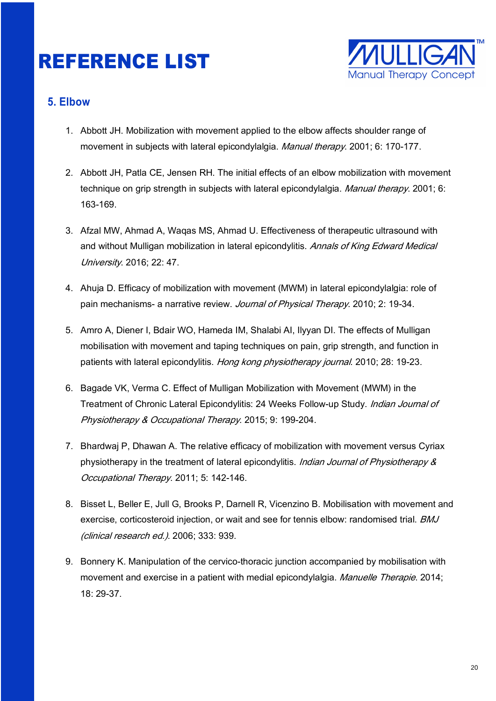

#### **5. Elbow**

- 1. Abbott JH. Mobilization with movement applied to the elbow affects shoulder range of movement in subjects with lateral epicondylalgia. Manual therapy. 2001; 6: 170-177.
- 2. Abbott JH, Patla CE, Jensen RH. The initial effects of an elbow mobilization with movement technique on grip strength in subjects with lateral epicondylalgia. Manual therapy. 2001; 6: 163‐169.
- 3. Afzal MW, Ahmad A, Waqas MS, Ahmad U. Effectiveness of therapeutic ultrasound with and without Mulligan mobilization in lateral epicondylitis. Annals of King Edward Medical University. 2016; 22: 47.
- 4. Ahuja D. Efficacy of mobilization with movement (MWM) in lateral epicondylalgia: role of pain mechanisms- a narrative review. Journal of Physical Therapy. 2010; 2: 19-34.
- 5. Amro A, Diener I, Bdair WO, Hameda IM, Shalabi AI, Ilyyan DI. The effects of Mulligan mobilisation with movement and taping techniques on pain, grip strength, and function in patients with lateral epicondylitis. Hong kong physiotherapy journal. 2010; 28: 19-23.
- 6. Bagade VK, Verma C. Effect of Mulligan Mobilization with Movement (MWM) in the Treatment of Chronic Lateral Epicondylitis: 24 Weeks Follow-up Study. Indian Journal of Physiotherapy & Occupational Therapy. 2015; 9: 199-204.
- 7. Bhardwaj P, Dhawan A. The relative efficacy of mobilization with movement versus Cyriax physiotherapy in the treatment of lateral epicondylitis. *Indian Journal of Physiotherapy &* Occupational Therapy. 2011; 5: 142-146.
- 8. Bisset L, Beller E, Jull G, Brooks P, Darnell R, Vicenzino B. Mobilisation with movement and exercise, corticosteroid injection, or wait and see for tennis elbow: randomised trial. BMJ (clinical research ed.). 2006; 333: 939.
- 9. Bonnery K. Manipulation of the cervico-thoracic junction accompanied by mobilisation with movement and exercise in a patient with medial epicondylalgia. Manuelle Therapie. 2014; 18: 29-37.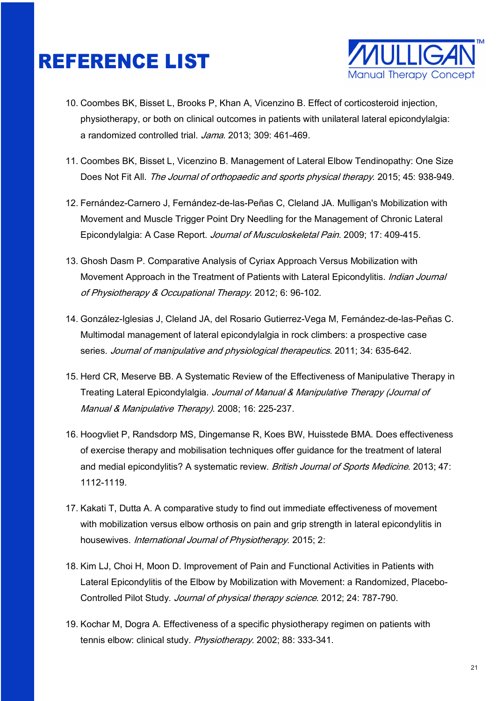

- 10. Coombes BK, Bisset L, Brooks P, Khan A, Vicenzino B. Effect of corticosteroid injection, physiotherapy, or both on clinical outcomes in patients with unilateral lateral epicondylalgia: a randomized controlled trial. Jama. 2013; 309: 461-469.
- 11. Coombes BK, Bisset L, Vicenzino B. Management of Lateral Elbow Tendinopathy: One Size Does Not Fit All. The Journal of orthopaedic and sports physical therapy. 2015; 45: 938-949.
- 12. Fernández-Carnero J, Fernández-de-las-Peñas C, Cleland JA. Mulligan's Mobilization with Movement and Muscle Trigger Point Dry Needling for the Management of Chronic Lateral Epicondylalgia: A Case Report. Journal of Musculoskeletal Pain. 2009; 17: 409-415.
- 13. Ghosh Dasm P. Comparative Analysis of Cyriax Approach Versus Mobilization with Movement Approach in the Treatment of Patients with Lateral Epicondylitis. *Indian Journal* of Physiotherapy & Occupational Therapy. 2012; 6: 96-102.
- 14. González-Iglesias J, Cleland JA, del Rosario Gutierrez-Vega M, Fernández-de-las-Peñas C. Multimodal management of lateral epicondylalgia in rock climbers: a prospective case series. Journal of manipulative and physiological therapeutics. 2011; 34: 635-642.
- 15. Herd CR, Meserve BB. A Systematic Review of the Effectiveness of Manipulative Therapy in Treating Lateral Epicondylalgia. Journal of Manual & Manipulative Therapy (Journal of Manual & Manipulative Therapy). 2008; 16: 225-237.
- 16. Hoogvliet P, Randsdorp MS, Dingemanse R, Koes BW, Huisstede BMA. Does effectiveness of exercise therapy and mobilisation techniques offer guidance for the treatment of lateral and medial epicondylitis? A systematic review. British Journal of Sports Medicine. 2013; 47: 1112-1119.
- 17. Kakati T, Dutta A. A comparative study to find out immediate effectiveness of movement with mobilization versus elbow orthosis on pain and grip strength in lateral epicondylitis in housewives. International Journal of Physiotherapy. 2015; 2:
- 18. Kim LJ, Choi H, Moon D. Improvement of Pain and Functional Activities in Patients with Lateral Epicondylitis of the Elbow by Mobilization with Movement: a Randomized, Placebo-Controlled Pilot Study. Journal of physical therapy science. 2012; 24: 787-790.
- 19. Kochar M, Dogra A. Effectiveness of a specific physiotherapy regimen on patients with tennis elbow: clinical study. Physiotherapy. 2002; 88: 333-341.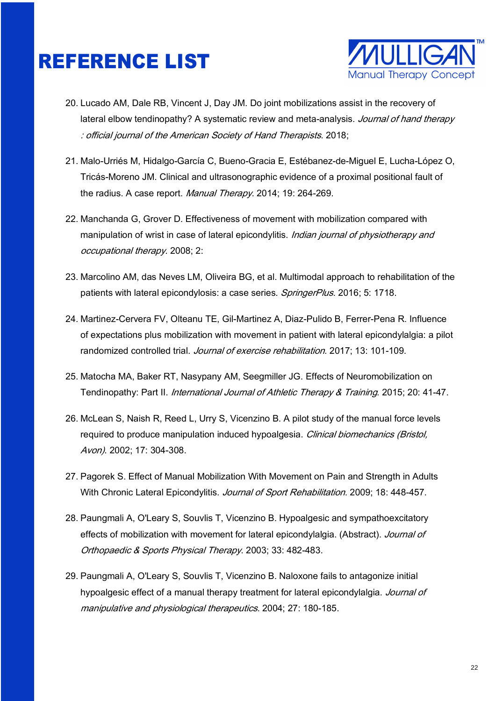

- 20. Lucado AM, Dale RB, Vincent J, Day JM. Do joint mobilizations assist in the recovery of lateral elbow tendinopathy? A systematic review and meta-analysis. Journal of hand therapy : official journal of the American Society of Hand Therapists. 2018;
- 21. Malo-Urriés M, Hidalgo-García C, Bueno-Gracia E, Estébanez-de-Miguel E, Lucha-López O, Tricás-Moreno JM. Clinical and ultrasonographic evidence of a proximal positional fault of the radius. A case report. Manual Therapy. 2014; 19: 264-269.
- 22. Manchanda G, Grover D. Effectiveness of movement with mobilization compared with manipulation of wrist in case of lateral epicondylitis. Indian journal of physiotherapy and occupational therapy. 2008; 2:
- 23. Marcolino AM, das Neves LM, Oliveira BG, et al. Multimodal approach to rehabilitation of the patients with lateral epicondylosis: a case series. SpringerPlus. 2016; 5: 1718.
- 24. Martinez-Cervera FV, Olteanu TE, Gil-Martinez A, Diaz-Pulido B, Ferrer-Pena R. Influence of expectations plus mobilization with movement in patient with lateral epicondylalgia: a pilot randomized controlled trial. Journal of exercise rehabilitation. 2017; 13: 101-109.
- 25. Matocha MA, Baker RT, Nasypany AM, Seegmiller JG. Effects of Neuromobilization on Tendinopathy: Part II. *International Journal of Athletic Therapy & Training*. 2015; 20: 41-47.
- 26. McLean S, Naish R, Reed L, Urry S, Vicenzino B. A pilot study of the manual force levels required to produce manipulation induced hypoalgesia. Clinical biomechanics (Bristol, Avon). 2002; 17: 304-308.
- 27. Pagorek S. Effect of Manual Mobilization With Movement on Pain and Strength in Adults With Chronic Lateral Epicondylitis. Journal of Sport Rehabilitation. 2009; 18: 448-457.
- 28. Paungmali A, O'Leary S, Souvlis T, Vicenzino B. Hypoalgesic and sympathoexcitatory effects of mobilization with movement for lateral epicondylalgia. (Abstract). Journal of Orthopaedic & Sports Physical Therapy. 2003; 33: 482-483.
- 29. Paungmali A, O'Leary S, Souvlis T, Vicenzino B. Naloxone fails to antagonize initial hypoalgesic effect of a manual therapy treatment for lateral epicondylalgia. Journal of manipulative and physiological therapeutics. 2004; 27: 180-185.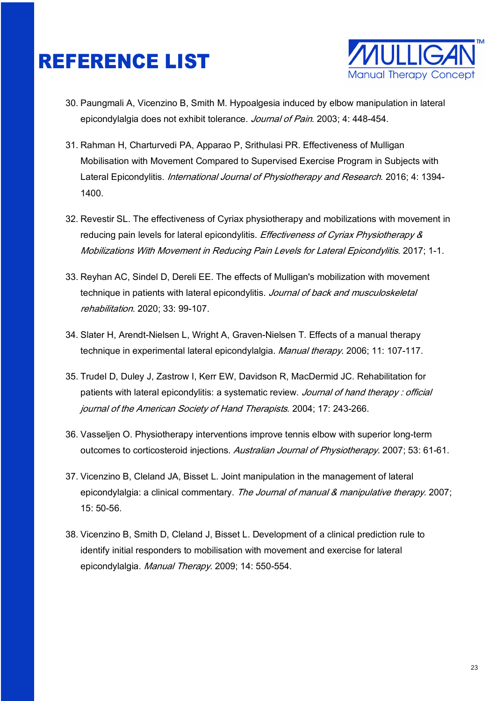

- 30. Paungmali A, Vicenzino B, Smith M. Hypoalgesia induced by elbow manipulation in lateral epicondylalgia does not exhibit tolerance. Journal of Pain. 2003; 4: 448-454.
- 31. Rahman H, Charturvedi PA, Apparao P, Srithulasi PR. Effectiveness of Mulligan Mobilisation with Movement Compared to Supervised Exercise Program in Subjects with Lateral Epicondylitis. International Journal of Physiotherapy and Research. 2016; 4: 1394-1400.
- 32. Revestir SL. The effectiveness of Cyriax physiotherapy and mobilizations with movement in reducing pain levels for lateral epicondylitis. *Effectiveness of Cyriax Physiotherapy &* Mobilizations With Movement in Reducing Pain Levels for Lateral Epicondylitis. 2017; 1-1.
- 33. Reyhan AC, Sindel D, Dereli EE. The effects of Mulligan's mobilization with movement technique in patients with lateral epicondylitis. Journal of back and musculoskeletal rehabilitation. 2020; 33: 99-107.
- 34. Slater H, Arendt-Nielsen L, Wright A, Graven-Nielsen T. Effects of a manual therapy technique in experimental lateral epicondylalgia. Manual therapy. 2006; 11: 107-117.
- 35. Trudel D, Duley J, Zastrow I, Kerr EW, Davidson R, MacDermid JC. Rehabilitation for patients with lateral epicondylitis: a systematic review. Journal of hand therapy: official journal of the American Society of Hand Therapists. 2004; 17: 243-266.
- 36. Vasseljen O. Physiotherapy interventions improve tennis elbow with superior long-term outcomes to corticosteroid injections. Australian Journal of Physiotherapy. 2007; 53: 61-61.
- 37. Vicenzino B, Cleland JA, Bisset L. Joint manipulation in the management of lateral epicondylalgia: a clinical commentary. The Journal of manual & manipulative therapy. 2007; 15: 50-56.
- 38. Vicenzino B, Smith D, Cleland J, Bisset L. Development of a clinical prediction rule to identify initial responders to mobilisation with movement and exercise for lateral epicondylalgia. Manual Therapy. 2009; 14: 550-554.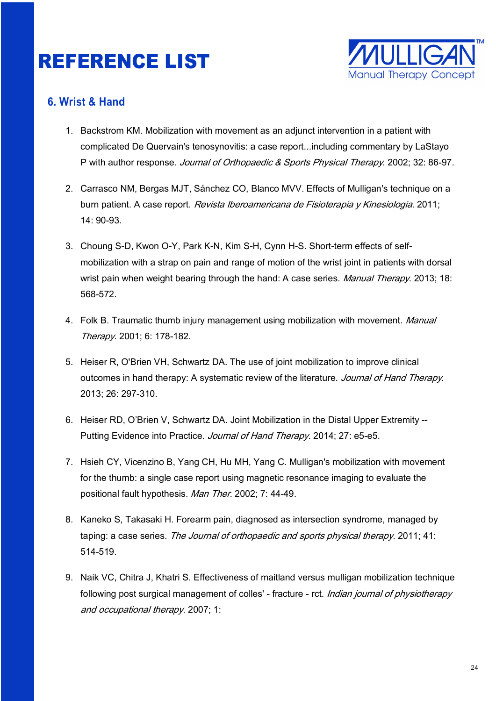

#### **6. Wrist & Hand**

- 1. Backstrom KM. Mobilization with movement as an adjunct intervention in a patient with complicated De Quervain's tenosynovitis: a case report...including commentary by LaStayo P with author response. Journal of Orthopaedic & Sports Physical Therapy. 2002; 32: 86-97.
- 2. Carrasco NM, Bergas MJT, Sánchez CO, Blanco MVV. Effects of Mulligan's technique on a burn patient. A case report. Revista Iberoamericana de Fisioterapia y Kinesiologia. 2011; 14: 90-93.
- 3. Choung S-D, Kwon O-Y, Park K-N, Kim S-H, Cynn H-S. Short-term effects of selfmobilization with a strap on pain and range of motion of the wrist joint in patients with dorsal wrist pain when weight bearing through the hand: A case series. *Manual Therapy.* 2013; 18: 568-572.
- 4. Folk B. Traumatic thumb injury management using mobilization with movement. Manual Therapy. 2001; 6: 178-182.
- 5. Heiser R, O'Brien VH, Schwartz DA. The use of joint mobilization to improve clinical outcomes in hand therapy: A systematic review of the literature. Journal of Hand Therapy. 2013; 26: 297-310.
- 6. Heiser RD, O'Brien V, Schwartz DA. Joint Mobilization in the Distal Upper Extremity -- Putting Evidence into Practice. Journal of Hand Therapy. 2014; 27: e5-e5.
- 7. Hsieh CY, Vicenzino B, Yang CH, Hu MH, Yang C. Mulligan's mobilization with movement for the thumb: a single case report using magnetic resonance imaging to evaluate the positional fault hypothesis. Man Ther. 2002; 7: 44-49.
- 8. Kaneko S, Takasaki H. Forearm pain, diagnosed as intersection syndrome, managed by taping: a case series. The Journal of orthopaedic and sports physical therapy. 2011; 41: 514-519.
- 9. Naik VC, Chitra J, Khatri S. Effectiveness of maitland versus mulligan mobilization technique following post surgical management of colles' - fracture - rct. *Indian journal of physiotherapy* and occupational therapy. 2007; 1: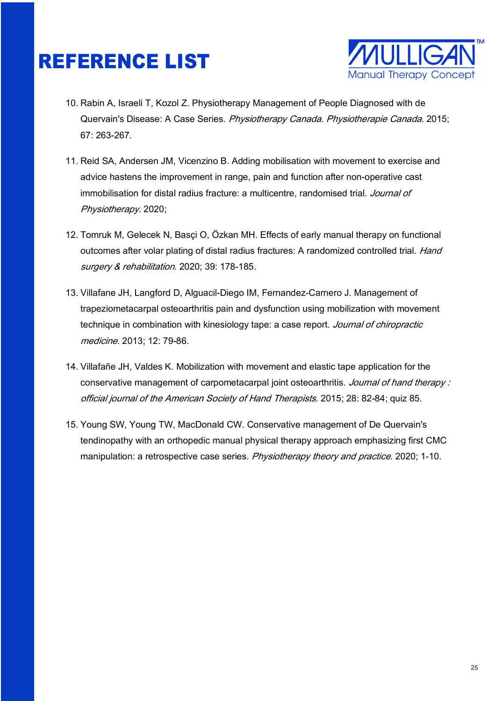

- 10. Rabin A, Israeli T, Kozol Z. Physiotherapy Management of People Diagnosed with de Quervain's Disease: A Case Series. Physiotherapy Canada. Physiotherapie Canada. 2015; 67: 263-267.
- 11. Reid SA, Andersen JM, Vicenzino B. Adding mobilisation with movement to exercise and advice hastens the improvement in range, pain and function after non-operative cast immobilisation for distal radius fracture: a multicentre, randomised trial. Journal of Physiotherapy. 2020;
- 12. Tomruk M, Gelecek N, Basçi O, Özkan MH. Effects of early manual therapy on functional outcomes after volar plating of distal radius fractures: A randomized controlled trial. Hand surgery & rehabilitation. 2020; 39: 178-185.
- 13. Villafane JH, Langford D, Alguacil-Diego IM, Fernandez-Carnero J. Management of trapeziometacarpal osteoarthritis pain and dysfunction using mobilization with movement technique in combination with kinesiology tape: a case report. Journal of chiropractic medicine. 2013; 12: 79-86.
- 14. Villafañe JH, Valdes K. Mobilization with movement and elastic tape application for the conservative management of carpometacarpal joint osteoarthritis. Journal of hand therapy: official journal of the American Society of Hand Therapists. 2015; 28: 82-84; quiz 85.
- 15. Young SW, Young TW, MacDonald CW. Conservative management of De Quervain's tendinopathy with an orthopedic manual physical therapy approach emphasizing first CMC manipulation: a retrospective case series. Physiotherapy theory and practice. 2020; 1-10.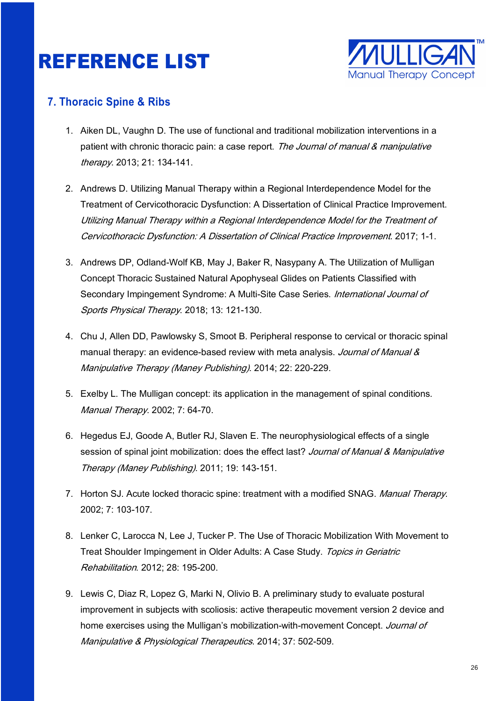

#### **7. Thoracic Spine & Ribs**

- 1. Aiken DL, Vaughn D. The use of functional and traditional mobilization interventions in a patient with chronic thoracic pain: a case report. The Journal of manual & manipulative therapy. 2013; 21: 134-141.
- 2. Andrews D. Utilizing Manual Therapy within a Regional Interdependence Model for the Treatment of Cervicothoracic Dysfunction: A Dissertation of Clinical Practice Improvement. Utilizing Manual Therapy within a Regional Interdependence Model for the Treatment of Cervicothoracic Dysfunction: A Dissertation of Clinical Practice Improvement. 2017; 1-1.
- 3. Andrews DP, Odland-Wolf KB, May J, Baker R, Nasypany A. The Utilization of Mulligan Concept Thoracic Sustained Natural Apophyseal Glides on Patients Classified with Secondary Impingement Syndrome: A Multi-Site Case Series. *International Journal of* Sports Physical Therapy. 2018; 13: 121-130.
- 4. Chu J, Allen DD, Pawlowsky S, Smoot B. Peripheral response to cervical or thoracic spinal manual therapy: an evidence-based review with meta analysis. Journal of Manual & Manipulative Therapy (Maney Publishing). 2014; 22: 220-229.
- 5. Exelby L. The Mulligan concept: its application in the management of spinal conditions. Manual Therapy. 2002; 7: 64-70.
- 6. Hegedus EJ, Goode A, Butler RJ, Slaven E. The neurophysiological effects of a single session of spinal joint mobilization: does the effect last? Journal of Manual & Manipulative Therapy (Maney Publishing). 2011; 19: 143-151.
- 7. Horton SJ. Acute locked thoracic spine: treatment with a modified SNAG. Manual Therapy. 2002; 7: 103-107.
- 8. Lenker C, Larocca N, Lee J, Tucker P. The Use of Thoracic Mobilization With Movement to Treat Shoulder Impingement in Older Adults: A Case Study. Topics in Geriatric Rehabilitation. 2012; 28: 195-200.
- 9. Lewis C, Diaz R, Lopez G, Marki N, Olivio B. A preliminary study to evaluate postural improvement in subjects with scoliosis: active therapeutic movement version 2 device and home exercises using the Mulligan's mobilization-with-movement Concept. Journal of Manipulative & Physiological Therapeutics. 2014; 37: 502-509.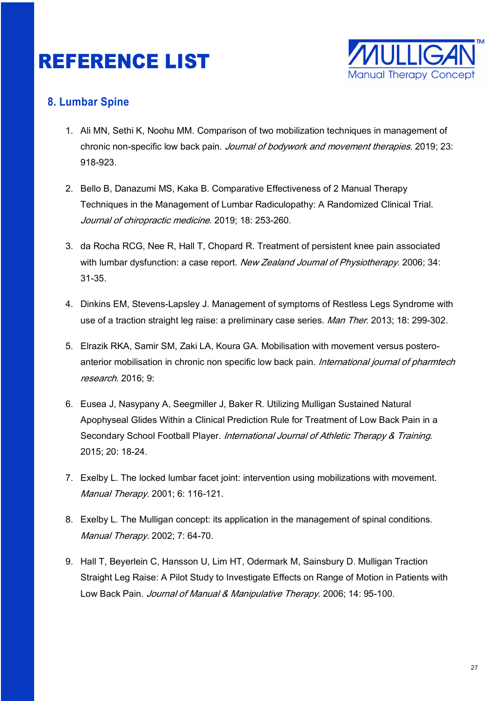

#### **8. Lumbar Spine**

- 1. Ali MN, Sethi K, Noohu MM. Comparison of two mobilization techniques in management of chronic non-specific low back pain. Journal of bodywork and movement therapies. 2019; 23: 918-923.
- 2. Bello B, Danazumi MS, Kaka B. Comparative Effectiveness of 2 Manual Therapy Techniques in the Management of Lumbar Radiculopathy: A Randomized Clinical Trial. Journal of chiropractic medicine. 2019; 18: 253-260.
- 3. da Rocha RCG, Nee R, Hall T, Chopard R. Treatment of persistent knee pain associated with lumbar dysfunction: a case report. New Zealand Journal of Physiotherapy. 2006; 34: 31-35.
- 4. Dinkins EM, Stevens-Lapsley J. Management of symptoms of Restless Legs Syndrome with use of a traction straight leg raise: a preliminary case series. Man Ther. 2013; 18: 299-302.
- 5. Elrazik RKA, Samir SM, Zaki LA, Koura GA. Mobilisation with movement versus posteroanterior mobilisation in chronic non specific low back pain. International journal of pharmtech research. 2016; 9:
- 6. Eusea J, Nasypany A, Seegmiller J, Baker R. Utilizing Mulligan Sustained Natural Apophyseal Glides Within a Clinical Prediction Rule for Treatment of Low Back Pain in a Secondary School Football Player. International Journal of Athletic Therapy & Training. 2015; 20: 18-24.
- 7. Exelby L. The locked lumbar facet joint: intervention using mobilizations with movement. Manual Therapy. 2001; 6: 116-121.
- 8. Exelby L. The Mulligan concept: its application in the management of spinal conditions. Manual Therapy. 2002; 7: 64-70.
- 9. Hall T, Beyerlein C, Hansson U, Lim HT, Odermark M, Sainsbury D. Mulligan Traction Straight Leg Raise: A Pilot Study to Investigate Effects on Range of Motion in Patients with Low Back Pain. Journal of Manual & Manipulative Therapy. 2006; 14: 95-100.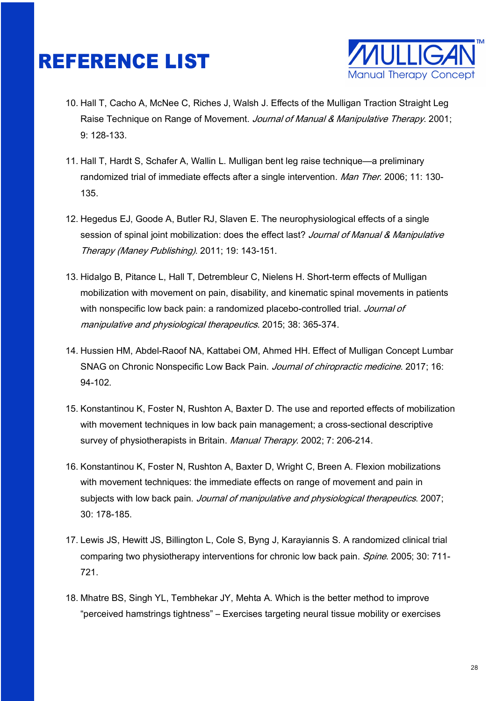

- 10. Hall T, Cacho A, McNee C, Riches J, Walsh J. Effects of the Mulligan Traction Straight Leg Raise Technique on Range of Movement. Journal of Manual & Manipulative Therapy. 2001; 9: 128-133.
- 11. Hall T, Hardt S, Schafer A, Wallin L. Mulligan bent leg raise technique—a preliminary randomized trial of immediate effects after a single intervention. Man Ther. 2006; 11: 130-135.
- 12. Hegedus EJ, Goode A, Butler RJ, Slaven E. The neurophysiological effects of a single session of spinal joint mobilization: does the effect last? Journal of Manual & Manipulative Therapy (Maney Publishing). 2011; 19: 143-151.
- 13. Hidalgo B, Pitance L, Hall T, Detrembleur C, Nielens H. Short-term effects of Mulligan mobilization with movement on pain, disability, and kinematic spinal movements in patients with nonspecific low back pain: a randomized placebo-controlled trial. Journal of manipulative and physiological therapeutics. 2015; 38: 365-374.
- 14. Hussien HM, Abdel-Raoof NA, Kattabei OM, Ahmed HH. Effect of Mulligan Concept Lumbar SNAG on Chronic Nonspecific Low Back Pain. Journal of chiropractic medicine. 2017; 16: 94‐102.
- 15. Konstantinou K, Foster N, Rushton A, Baxter D. The use and reported effects of mobilization with movement techniques in low back pain management; a cross-sectional descriptive survey of physiotherapists in Britain. Manual Therapy. 2002; 7: 206-214.
- 16. Konstantinou K, Foster N, Rushton A, Baxter D, Wright C, Breen A. Flexion mobilizations with movement techniques: the immediate effects on range of movement and pain in subjects with low back pain. Journal of manipulative and physiological therapeutics. 2007; 30: 178‐185.
- 17. Lewis JS, Hewitt JS, Billington L, Cole S, Byng J, Karayiannis S. A randomized clinical trial comparing two physiotherapy interventions for chronic low back pain. *Spine*. 2005; 30: 711-721.
- 18. Mhatre BS, Singh YL, Tembhekar JY, Mehta A. Which is the better method to improve "perceived hamstrings tightness" – Exercises targeting neural tissue mobility or exercises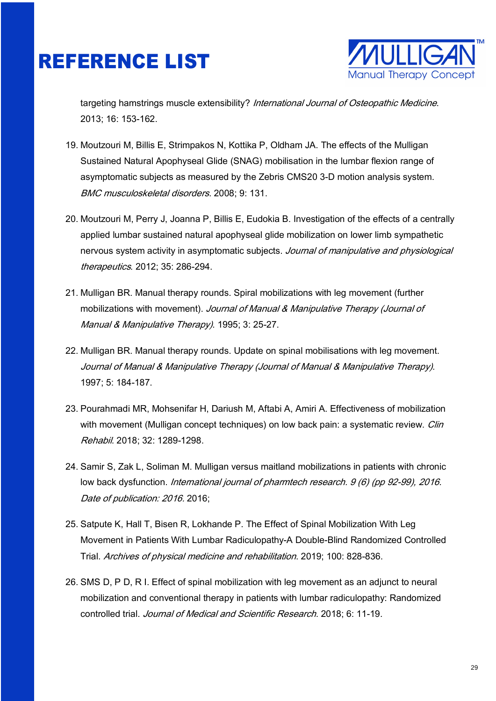

targeting hamstrings muscle extensibility? International Journal of Osteopathic Medicine. 2013; 16: 153-162.

- 19. Moutzouri M, Billis E, Strimpakos N, Kottika P, Oldham JA. The effects of the Mulligan Sustained Natural Apophyseal Glide (SNAG) mobilisation in the lumbar flexion range of asymptomatic subjects as measured by the Zebris CMS20 3-D motion analysis system. BMC musculoskeletal disorders. 2008; 9: 131.
- 20. Moutzouri M, Perry J, Joanna P, Billis E, Eudokia B. Investigation of the effects of a centrally applied lumbar sustained natural apophyseal glide mobilization on lower limb sympathetic nervous system activity in asymptomatic subjects. Journal of manipulative and physiological therapeutics. 2012; 35: 286‐294.
- 21. Mulligan BR. Manual therapy rounds. Spiral mobilizations with leg movement (further mobilizations with movement). Journal of Manual & Manipulative Therapy (Journal of Manual & Manipulative Therapy). 1995; 3: 25-27.
- 22. Mulligan BR. Manual therapy rounds. Update on spinal mobilisations with leg movement. Journal of Manual & Manipulative Therapy (Journal of Manual & Manipulative Therapy). 1997; 5: 184-187.
- 23. Pourahmadi MR, Mohsenifar H, Dariush M, Aftabi A, Amiri A. Effectiveness of mobilization with movement (Mulligan concept techniques) on low back pain: a systematic review. *Clin* Rehabil. 2018; 32: 1289-1298.
- 24. Samir S, Zak L, Soliman M. Mulligan versus maitland mobilizations in patients with chronic low back dysfunction. International journal of pharmtech research. 9 (6) (pp 92-99), 2016. Date of publication: 2016. 2016:
- 25. Satpute K, Hall T, Bisen R, Lokhande P. The Effect of Spinal Mobilization With Leg Movement in Patients With Lumbar Radiculopathy-A Double-Blind Randomized Controlled Trial. Archives of physical medicine and rehabilitation. 2019; 100: 828-836.
- 26. SMS D, P D, R I. Effect of spinal mobilization with leg movement as an adjunct to neural mobilization and conventional therapy in patients with lumbar radiculopathy: Randomized controlled trial. Journal of Medical and Scientific Research. 2018; 6: 11-19.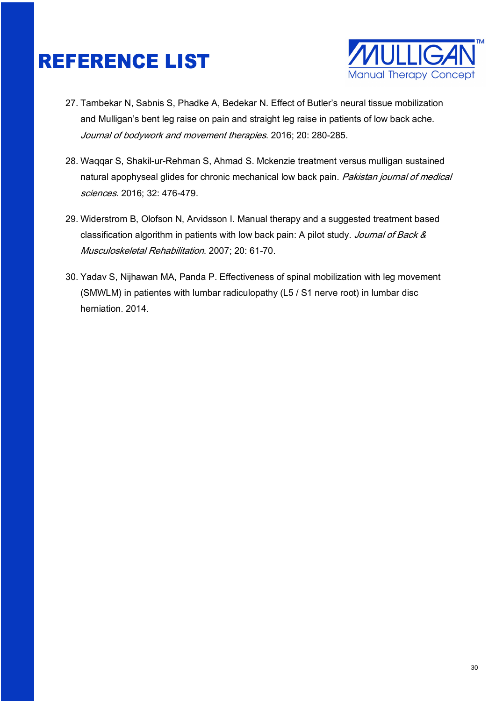

- 27. Tambekar N, Sabnis S, Phadke A, Bedekar N. Effect of Butler's neural tissue mobilization and Mulligan's bent leg raise on pain and straight leg raise in patients of low back ache. Journal of bodywork and movement therapies. 2016; 20: 280‐285.
- 28. Waqqar S, Shakil-ur-Rehman S, Ahmad S. Mckenzie treatment versus mulligan sustained natural apophyseal glides for chronic mechanical low back pain. Pakistan journal of medical sciences. 2016; 32: 476-479.
- 29. Widerstrom B, Olofson N, Arvidsson I. Manual therapy and a suggested treatment based classification algorithm in patients with low back pain: A pilot study. Journal of Back & Musculoskeletal Rehabilitation. 2007; 20: 61-70.
- 30. Yadav S, Nijhawan MA, Panda P. Effectiveness of spinal mobilization with leg movement (SMWLM) in patientes with lumbar radiculopathy (L5 / S1 nerve root) in lumbar disc herniation. 2014.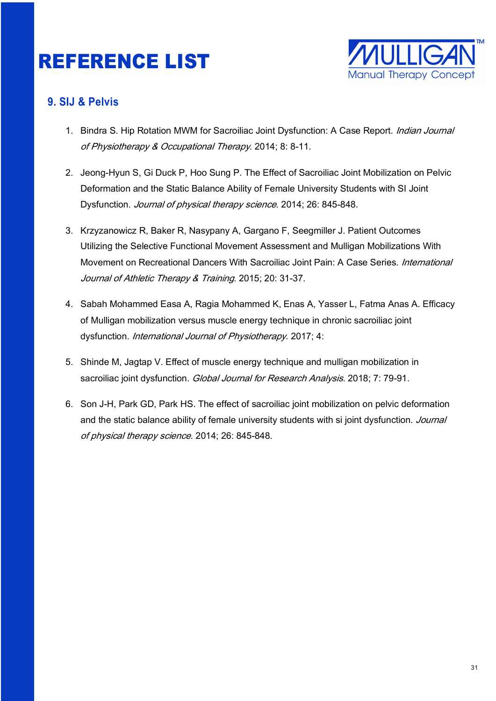

#### **9. SIJ & Pelvis**

- 1. Bindra S. Hip Rotation MWM for Sacroiliac Joint Dysfunction: A Case Report. *Indian Journal* of Physiotherapy & Occupational Therapy. 2014; 8: 8-11.
- 2. Jeong-Hyun S, Gi Duck P, Hoo Sung P. The Effect of Sacroiliac Joint Mobilization on Pelvic Deformation and the Static Balance Ability of Female University Students with SI Joint Dysfunction. Journal of physical therapy science. 2014; 26: 845-848.
- 3. Krzyzanowicz R, Baker R, Nasypany A, Gargano F, Seegmiller J. Patient Outcomes Utilizing the Selective Functional Movement Assessment and Mulligan Mobilizations With Movement on Recreational Dancers With Sacroiliac Joint Pain: A Case Series. International Journal of Athletic Therapy & Training. 2015; 20: 31-37.
- 4. Sabah Mohammed Easa A, Ragia Mohammed K, Enas A, Yasser L, Fatma Anas A. Efficacy of Mulligan mobilization versus muscle energy technique in chronic sacroiliac joint dysfunction. International Journal of Physiotherapy. 2017; 4:
- 5. Shinde M, Jagtap V. Effect of muscle energy technique and mulligan mobilization in sacroiliac joint dysfunction. Global Journal for Research Analysis. 2018; 7: 79-91.
- 6. Son J-H, Park GD, Park HS. The effect of sacroiliac joint mobilization on pelvic deformation and the static balance ability of female university students with si joint dysfunction. Journal of physical therapy science. 2014; 26: 845-848.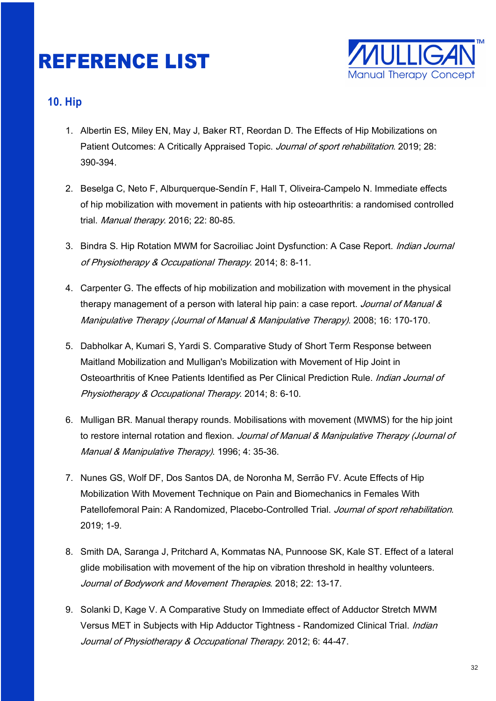

#### **10. Hip**

- 1. Albertin ES, Miley EN, May J, Baker RT, Reordan D. The Effects of Hip Mobilizations on Patient Outcomes: A Critically Appraised Topic. Journal of sport rehabilitation. 2019; 28: 390-394.
- 2. Beselga C, Neto F, Alburquerque-Sendín F, Hall T, Oliveira-Campelo N. Immediate effects of hip mobilization with movement in patients with hip osteoarthritis: a randomised controlled trial. Manual therapy. 2016; 22: 80‐85.
- 3. Bindra S. Hip Rotation MWM for Sacroiliac Joint Dysfunction: A Case Report. Indian Journal of Physiotherapy & Occupational Therapy. 2014; 8: 8-11.
- 4. Carpenter G. The effects of hip mobilization and mobilization with movement in the physical therapy management of a person with lateral hip pain: a case report. Journal of Manual & Manipulative Therapy (Journal of Manual & Manipulative Therapy). 2008; 16: 170-170.
- 5. Dabholkar A, Kumari S, Yardi S. Comparative Study of Short Term Response between Maitland Mobilization and Mulligan's Mobilization with Movement of Hip Joint in Osteoarthritis of Knee Patients Identified as Per Clinical Prediction Rule. *Indian Journal of* Physiotherapy & Occupational Therapy. 2014; 8: 6-10.
- 6. Mulligan BR. Manual therapy rounds. Mobilisations with movement (MWMS) for the hip joint to restore internal rotation and flexion. Journal of Manual & Manipulative Therapy (Journal of Manual & Manipulative Therapy). 1996; 4: 35-36.
- 7. Nunes GS, Wolf DF, Dos Santos DA, de Noronha M, Serrão FV. Acute Effects of Hip Mobilization With Movement Technique on Pain and Biomechanics in Females With Patellofemoral Pain: A Randomized, Placebo-Controlled Trial. Journal of sport rehabilitation. 2019; 1-9.
- 8. Smith DA, Saranga J, Pritchard A, Kommatas NA, Punnoose SK, Kale ST. Effect of a lateral glide mobilisation with movement of the hip on vibration threshold in healthy volunteers. Journal of Bodywork and Movement Therapies. 2018; 22: 13-17.
- 9. Solanki D, Kage V. A Comparative Study on Immediate effect of Adductor Stretch MWM Versus MET in Subjects with Hip Adductor Tightness - Randomized Clinical Trial. *Indian* Journal of Physiotherapy & Occupational Therapy. 2012; 6: 44-47.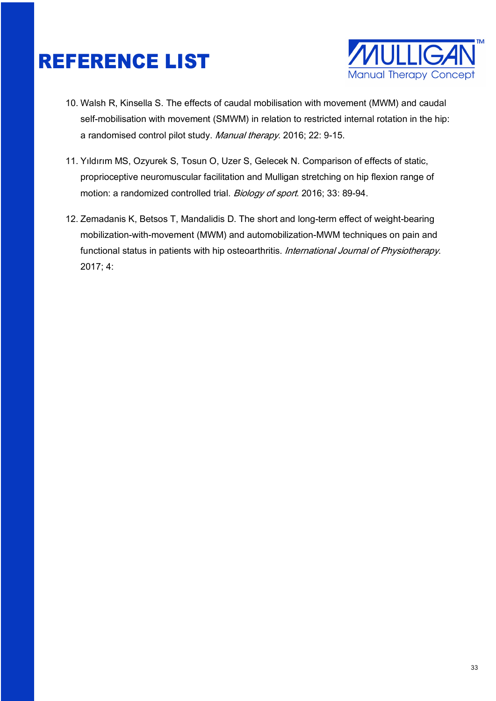

- 10. Walsh R, Kinsella S. The effects of caudal mobilisation with movement (MWM) and caudal self-mobilisation with movement (SMWM) in relation to restricted internal rotation in the hip: a randomised control pilot study. Manual therapy. 2016; 22: 9‐15.
- 11. Yıldırım MS, Ozyurek S, Tosun O, Uzer S, Gelecek N. Comparison of effects of static, proprioceptive neuromuscular facilitation and Mulligan stretching on hip flexion range of motion: a randomized controlled trial. Biology of sport. 2016; 33: 89-94.
- 12. Zemadanis K, Betsos T, Mandalidis D. The short and long-term effect of weight-bearing mobilization-with-movement (MWM) and automobilization-MWM techniques on pain and functional status in patients with hip osteoarthritis. International Journal of Physiotherapy. 2017; 4: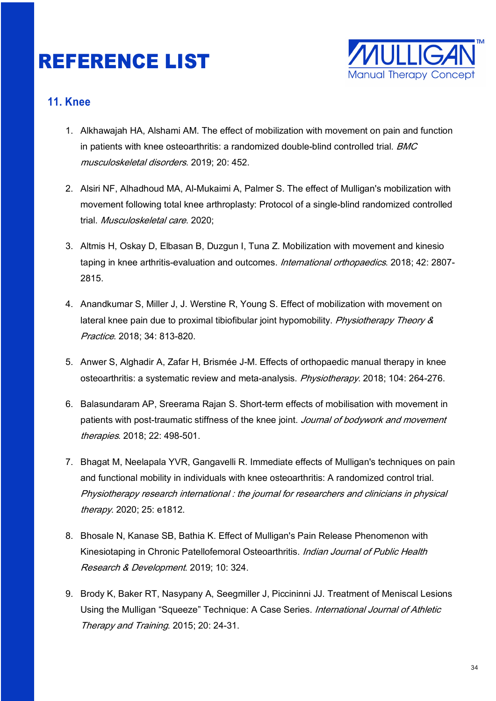

#### **11. Knee**

- 1. Alkhawajah HA, Alshami AM. The effect of mobilization with movement on pain and function in patients with knee osteoarthritis: a randomized double-blind controlled trial. BMC musculoskeletal disorders. 2019; 20: 452.
- 2. Alsiri NF, Alhadhoud MA, Al-Mukaimi A, Palmer S. The effect of Mulligan's mobilization with movement following total knee arthroplasty: Protocol of a single-blind randomized controlled trial. Musculoskeletal care. 2020;
- 3. Altmis H, Oskay D, Elbasan B, Duzgun I, Tuna Z. Mobilization with movement and kinesio taping in knee arthritis-evaluation and outcomes. *International orthopaedics*. 2018: 42: 2807-2815.
- 4. Anandkumar S, Miller J, J. Werstine R, Young S. Effect of mobilization with movement on lateral knee pain due to proximal tibiofibular joint hypomobility. Physiotherapy Theory & Practice. 2018; 34: 813-820.
- 5. Anwer S, Alghadir A, Zafar H, Brismée J-M. Effects of orthopaedic manual therapy in knee osteoarthritis: a systematic review and meta-analysis. Physiotherapy. 2018; 104: 264-276.
- 6. Balasundaram AP, Sreerama Rajan S. Short-term effects of mobilisation with movement in patients with post-traumatic stiffness of the knee joint. Journal of bodywork and movement therapies. 2018; 22: 498-501.
- 7. Bhagat M, Neelapala YVR, Gangavelli R. Immediate effects of Mulligan's techniques on pain and functional mobility in individuals with knee osteoarthritis: A randomized control trial. Physiotherapy research international : the journal for researchers and clinicians in physical therapy. 2020; 25: e1812.
- 8. Bhosale N, Kanase SB, Bathia K. Effect of Mulligan's Pain Release Phenomenon with Kinesiotaping in Chronic Patellofemoral Osteoarthritis. *Indian Journal of Public Health* Research & Development. 2019; 10: 324.
- 9. Brody K, Baker RT, Nasypany A, Seegmiller J, Piccininni JJ. Treatment of Meniscal Lesions Using the Mulligan "Squeeze" Technique: A Case Series. *International Journal of Athletic* Therapy and Training. 2015; 20: 24-31.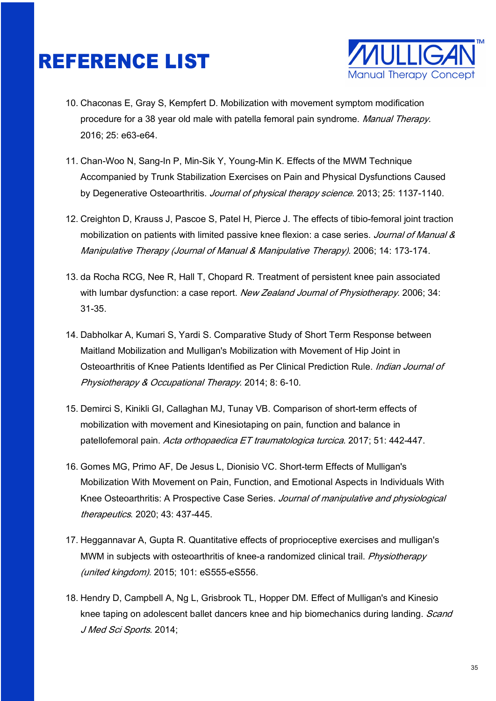

- 10. Chaconas E, Gray S, Kempfert D. Mobilization with movement symptom modification procedure for a 38 year old male with patella femoral pain syndrome. Manual Therapy. 2016; 25: e63-e64.
- 11. Chan-Woo N, Sang-In P, Min-Sik Y, Young-Min K. Effects of the MWM Technique Accompanied by Trunk Stabilization Exercises on Pain and Physical Dysfunctions Caused by Degenerative Osteoarthritis. Journal of physical therapy science. 2013; 25: 1137-1140.
- 12. Creighton D, Krauss J, Pascoe S, Patel H, Pierce J. The effects of tibio-femoral joint traction mobilization on patients with limited passive knee flexion: a case series. Journal of Manual & Manipulative Therapy (Journal of Manual & Manipulative Therapy). 2006; 14: 173-174.
- 13. da Rocha RCG, Nee R, Hall T, Chopard R. Treatment of persistent knee pain associated with lumbar dysfunction: a case report. New Zealand Journal of Physiotherapy. 2006; 34: 31-35.
- 14. Dabholkar A, Kumari S, Yardi S. Comparative Study of Short Term Response between Maitland Mobilization and Mulligan's Mobilization with Movement of Hip Joint in Osteoarthritis of Knee Patients Identified as Per Clinical Prediction Rule. *Indian Journal of* Physiotherapy & Occupational Therapy. 2014; 8: 6-10.
- 15. Demirci S, Kinikli GI, Callaghan MJ, Tunay VB. Comparison of short-term effects of mobilization with movement and Kinesiotaping on pain, function and balance in patellofemoral pain. Acta orthopaedica ET traumatologica turcica. 2017; 51: 442-447.
- 16. Gomes MG, Primo AF, De Jesus L, Dionisio VC. Short-term Effects of Mulligan's Mobilization With Movement on Pain, Function, and Emotional Aspects in Individuals With Knee Osteoarthritis: A Prospective Case Series. Journal of manipulative and physiological therapeutics. 2020; 43: 437-445.
- 17. Heggannavar A, Gupta R. Quantitative effects of proprioceptive exercises and mulligan's MWM in subjects with osteoarthritis of knee-a randomized clinical trail. Physiotherapy (united kingdom). 2015; 101: eS555‐eS556.
- 18. Hendry D, Campbell A, Ng L, Grisbrook TL, Hopper DM. Effect of Mulligan's and Kinesio knee taping on adolescent ballet dancers knee and hip biomechanics during landing. Scand J Med Sci Sports. 2014;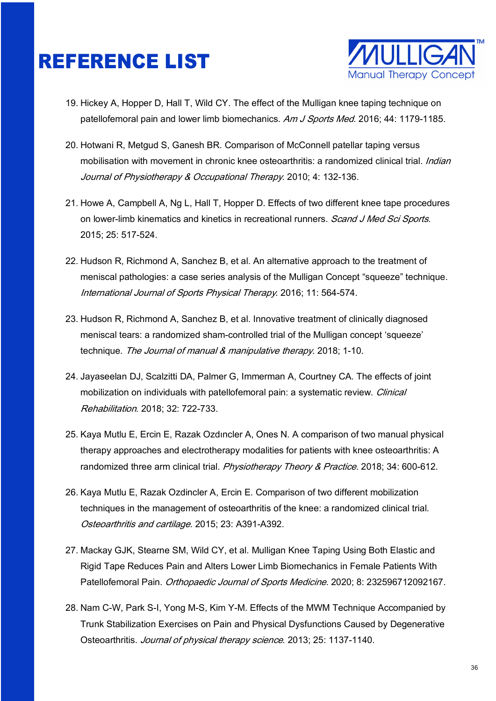

- 19. Hickey A, Hopper D, Hall T, Wild CY. The effect of the Mulligan knee taping technique on patellofemoral pain and lower limb biomechanics. Am J Sports Med. 2016; 44: 1179-1185.
- 20. Hotwani R, Metgud S, Ganesh BR. Comparison of McConnell patellar taping versus mobilisation with movement in chronic knee osteoarthritis: a randomized clinical trial. *Indian* Journal of Physiotherapy & Occupational Therapy. 2010; 4: 132-136.
- 21. Howe A, Campbell A, Ng L, Hall T, Hopper D. Effects of two different knee tape procedures on lower-limb kinematics and kinetics in recreational runners. *Scand J Med Sci Sports*. 2015; 25: 517-524.
- 22. Hudson R, Richmond A, Sanchez B, et al. An alternative approach to the treatment of meniscal pathologies: a case series analysis of the Mulligan Concept "squeeze" technique. International Journal of Sports Physical Therapy. 2016; 11: 564-574.
- 23. Hudson R, Richmond A, Sanchez B, et al. Innovative treatment of clinically diagnosed meniscal tears: a randomized sham-controlled trial of the Mulligan concept 'squeeze' technique. The Journal of manual & manipulative therapy. 2018; 1-10.
- 24. Jayaseelan DJ, Scalzitti DA, Palmer G, Immerman A, Courtney CA. The effects of joint mobilization on individuals with patellofemoral pain: a systematic review. *Clinical* Rehabilitation. 2018; 32: 722-733.
- 25. Kaya Mutlu E, Ercin E, Razak Ozdıncler A, Ones N. A comparison of two manual physical therapy approaches and electrotherapy modalities for patients with knee osteoarthritis: A randomized three arm clinical trial. Physiotherapy Theory & Practice. 2018; 34: 600-612.
- 26. Kaya Mutlu E, Razak Ozdincler A, Ercin E. Comparison of two different mobilization techniques in the management of osteoarthritis of the knee: a randomized clinical trial. Osteoarthritis and cartilage. 2015; 23: A391‐A392.
- 27. Mackay GJK, Stearne SM, Wild CY, et al. Mulligan Knee Taping Using Both Elastic and Rigid Tape Reduces Pain and Alters Lower Limb Biomechanics in Female Patients With Patellofemoral Pain. Orthopaedic Journal of Sports Medicine. 2020; 8: 232596712092167.
- 28. Nam C-W, Park S-I, Yong M-S, Kim Y-M. Effects of the MWM Technique Accompanied by Trunk Stabilization Exercises on Pain and Physical Dysfunctions Caused by Degenerative Osteoarthritis. Journal of physical therapy science. 2013; 25: 1137-1140.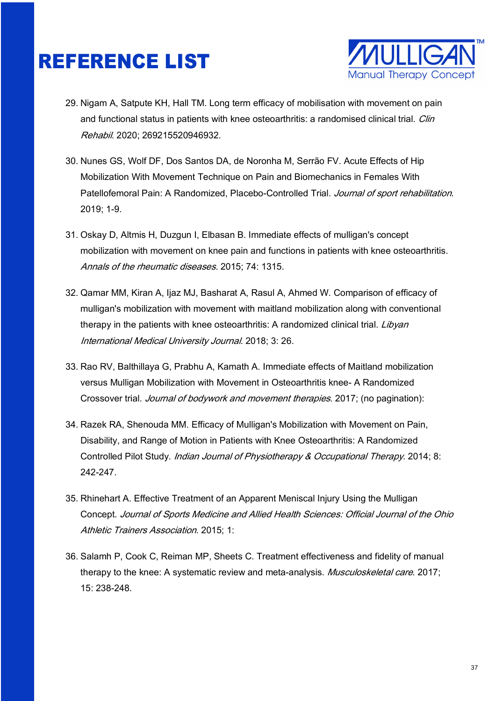

- 29. Nigam A, Satpute KH, Hall TM. Long term efficacy of mobilisation with movement on pain and functional status in patients with knee osteoarthritis: a randomised clinical trial. *Clin* Rehabil. 2020; 269215520946932.
- 30. Nunes GS, Wolf DF, Dos Santos DA, de Noronha M, Serrão FV. Acute Effects of Hip Mobilization With Movement Technique on Pain and Biomechanics in Females With Patellofemoral Pain: A Randomized, Placebo-Controlled Trial. Journal of sport rehabilitation. 2019; 1-9.
- 31. Oskay D, Altmis H, Duzgun I, Elbasan B. Immediate effects of mulligan's concept mobilization with movement on knee pain and functions in patients with knee osteoarthritis. Annals of the rheumatic diseases. 2015; 74: 1315.
- 32. Qamar MM, Kiran A, Ijaz MJ, Basharat A, Rasul A, Ahmed W. Comparison of efficacy of mulligan's mobilization with movement with maitland mobilization along with conventional therapy in the patients with knee osteoarthritis: A randomized clinical trial. Libyan International Medical University Journal. 2018; 3: 26.
- 33. Rao RV, Balthillaya G, Prabhu A, Kamath A. Immediate effects of Maitland mobilization versus Mulligan Mobilization with Movement in Osteoarthritis knee- A Randomized Crossover trial. Journal of bodywork and movement therapies. 2017; (no pagination):
- 34. Razek RA, Shenouda MM. Efficacy of Mulligan's Mobilization with Movement on Pain, Disability, and Range of Motion in Patients with Knee Osteoarthritis: A Randomized Controlled Pilot Study. Indian Journal of Physiotherapy & Occupational Therapy. 2014; 8: 242-247.
- 35. Rhinehart A. Effective Treatment of an Apparent Meniscal Injury Using the Mulligan Concept. Journal of Sports Medicine and Allied Health Sciences: Official Journal of the Ohio Athletic Trainers Association. 2015; 1:
- 36. Salamh P, Cook C, Reiman MP, Sheets C. Treatment effectiveness and fidelity of manual therapy to the knee: A systematic review and meta-analysis. *Musculoskeletal care*. 2017; 15: 238-248.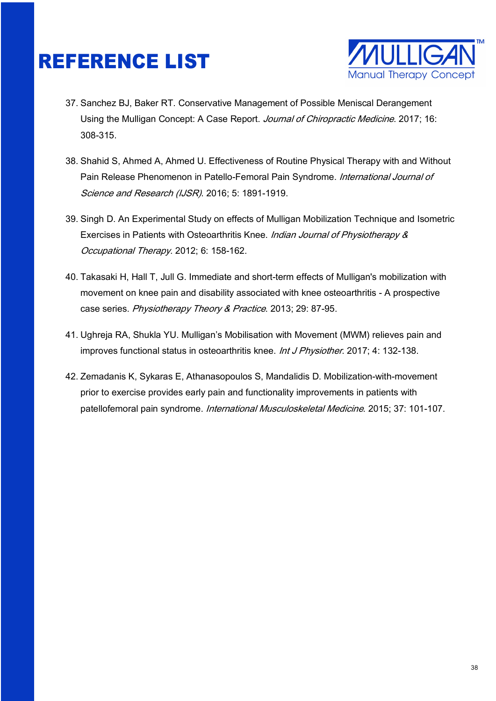

- 37. Sanchez BJ, Baker RT. Conservative Management of Possible Meniscal Derangement Using the Mulligan Concept: A Case Report. Journal of Chiropractic Medicine. 2017; 16: 308-315.
- 38. Shahid S, Ahmed A, Ahmed U. Effectiveness of Routine Physical Therapy with and Without Pain Release Phenomenon in Patello-Femoral Pain Syndrome. International Journal of Science and Research (IJSR). 2016; 5: 1891-1919.
- 39. Singh D. An Experimental Study on effects of Mulligan Mobilization Technique and Isometric Exercises in Patients with Osteoarthritis Knee. Indian Journal of Physiotherapy & Occupational Therapy. 2012; 6: 158-162.
- 40. Takasaki H, Hall T, Jull G. Immediate and short-term effects of Mulligan's mobilization with movement on knee pain and disability associated with knee osteoarthritis - A prospective case series. Physiotherapy Theory & Practice. 2013; 29: 87-95.
- 41. Ughreja RA, Shukla YU. Mulligan's Mobilisation with Movement (MWM) relieves pain and improves functional status in osteoarthritis knee. *Int J Physiother*. 2017; 4: 132-138.
- 42. Zemadanis K, Sykaras E, Athanasopoulos S, Mandalidis D. Mobilization-with-movement prior to exercise provides early pain and functionality improvements in patients with patellofemoral pain syndrome. International Musculoskeletal Medicine. 2015; 37: 101-107.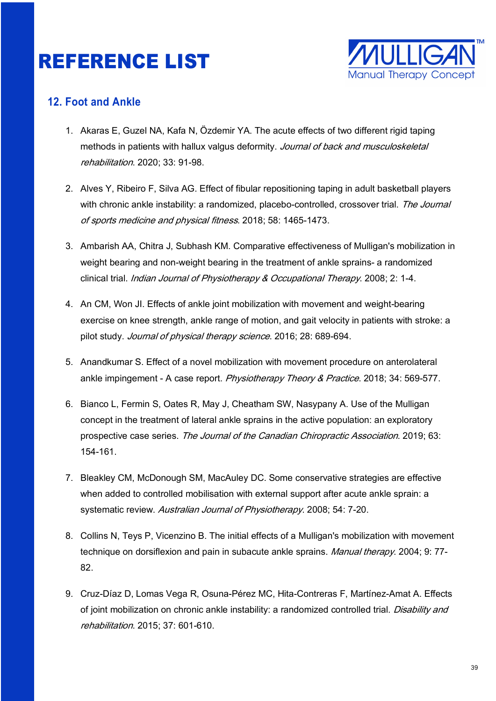

#### **12. Foot and Ankle**

- 1. Akaras E, Guzel NA, Kafa N, Özdemir YA. The acute effects of two different rigid taping methods in patients with hallux valgus deformity. Journal of back and musculoskeletal rehabilitation. 2020; 33: 91-98.
- 2. Alves Y, Ribeiro F, Silva AG. Effect of fibular repositioning taping in adult basketball players with chronic ankle instability: a randomized, placebo-controlled, crossover trial. The Journal of sports medicine and physical fitness. 2018; 58: 1465-1473.
- 3. Ambarish AA, Chitra J, Subhash KM. Comparative effectiveness of Mulligan's mobilization in weight bearing and non-weight bearing in the treatment of ankle sprains- a randomized clinical trial. Indian Journal of Physiotherapy & Occupational Therapy. 2008; 2: 1-4.
- 4. An CM, Won JI. Effects of ankle joint mobilization with movement and weight-bearing exercise on knee strength, ankle range of motion, and gait velocity in patients with stroke: a pilot study. Journal of physical therapy science. 2016; 28: 689-694.
- 5. Anandkumar S. Effect of a novel mobilization with movement procedure on anterolateral ankle impingement - A case report. Physiotherapy Theory & Practice. 2018; 34: 569-577.
- 6. Bianco L, Fermin S, Oates R, May J, Cheatham SW, Nasypany A. Use of the Mulligan concept in the treatment of lateral ankle sprains in the active population: an exploratory prospective case series. The Journal of the Canadian Chiropractic Association. 2019; 63: 154-161.
- 7. Bleakley CM, McDonough SM, MacAuley DC. Some conservative strategies are effective when added to controlled mobilisation with external support after acute ankle sprain: a systematic review. Australian Journal of Physiotherapy. 2008; 54: 7-20.
- 8. Collins N, Teys P, Vicenzino B. The initial effects of a Mulligan's mobilization with movement technique on dorsiflexion and pain in subacute ankle sprains. Manual therapy. 2004; 9: 77-82.
- 9. Cruz-Díaz D, Lomas Vega R, Osuna-Pérez MC, Hita-Contreras F, Martínez-Amat A. Effects of joint mobilization on chronic ankle instability: a randomized controlled trial. Disability and rehabilitation. 2015; 37: 601‐610.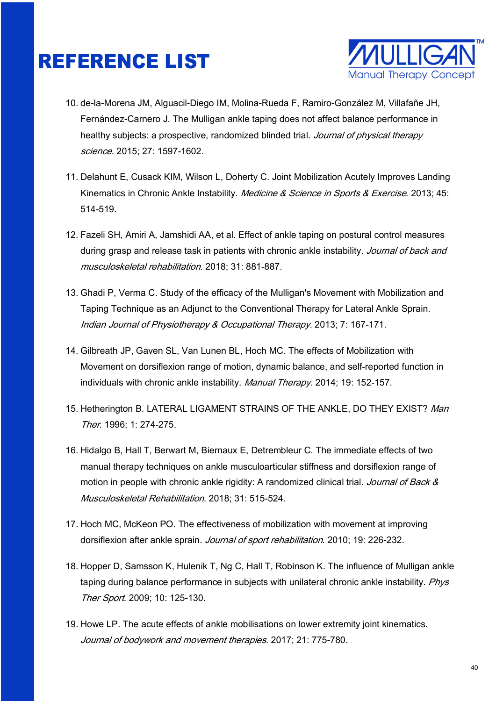

- 10. de-la-Morena JM, Alguacil-Diego IM, Molina-Rueda F, Ramiro-González M, Villafañe JH, Fernández-Carnero J. The Mulligan ankle taping does not affect balance performance in healthy subjects: a prospective, randomized blinded trial. Journal of physical therapy science. 2015: 27: 1597-1602.
- 11. Delahunt E, Cusack KIM, Wilson L, Doherty C. Joint Mobilization Acutely Improves Landing Kinematics in Chronic Ankle Instability. *Medicine & Science in Sports & Exercise*. 2013; 45: 514-519.
- 12. Fazeli SH, Amiri A, Jamshidi AA, et al. Effect of ankle taping on postural control measures during grasp and release task in patients with chronic ankle instability. Journal of back and musculoskeletal rehabilitation. 2018; 31: 881-887.
- 13. Ghadi P, Verma C. Study of the efficacy of the Mulligan's Movement with Mobilization and Taping Technique as an Adjunct to the Conventional Therapy for Lateral Ankle Sprain. Indian Journal of Physiotherapy & Occupational Therapy. 2013; 7: 167-171.
- 14. Gilbreath JP, Gaven SL, Van Lunen BL, Hoch MC. The effects of Mobilization with Movement on dorsiflexion range of motion, dynamic balance, and self-reported function in individuals with chronic ankle instability. Manual Therapy. 2014; 19: 152-157.
- 15. Hetherington B. LATERAL LIGAMENT STRAINS OF THE ANKLE, DO THEY EXIST? Man Ther. 1996; 1: 274-275.
- 16. Hidalgo B, Hall T, Berwart M, Biernaux E, Detrembleur C. The immediate effects of two manual therapy techniques on ankle musculoarticular stiffness and dorsiflexion range of motion in people with chronic ankle rigidity: A randomized clinical trial. Journal of Back & Musculoskeletal Rehabilitation. 2018; 31: 515-524.
- 17. Hoch MC, McKeon PO. The effectiveness of mobilization with movement at improving dorsiflexion after ankle sprain. Journal of sport rehabilitation. 2010; 19: 226-232.
- 18. Hopper D, Samsson K, Hulenik T, Ng C, Hall T, Robinson K. The influence of Mulligan ankle taping during balance performance in subjects with unilateral chronic ankle instability. Phys Ther Sport. 2009: 10: 125-130.
- 19. Howe LP. The acute effects of ankle mobilisations on lower extremity joint kinematics. Journal of bodywork and movement therapies. 2017; 21: 775-780.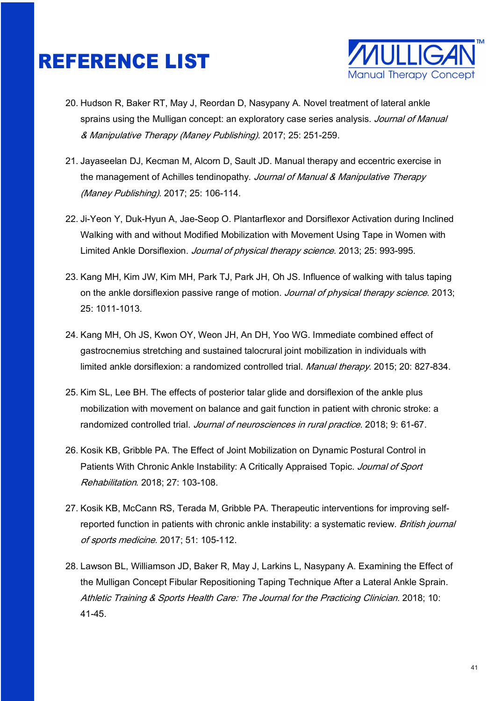

- 20. Hudson R, Baker RT, May J, Reordan D, Nasypany A. Novel treatment of lateral ankle sprains using the Mulligan concept: an exploratory case series analysis. Journal of Manual & Manipulative Therapy (Maney Publishing). 2017; 25: 251-259.
- 21. Jayaseelan DJ, Kecman M, Alcorn D, Sault JD. Manual therapy and eccentric exercise in the management of Achilles tendinopathy. Journal of Manual & Manipulative Therapy (Maney Publishing). 2017; 25: 106-114.
- 22. Ji-Yeon Y, Duk-Hyun A, Jae-Seop O. Plantarflexor and Dorsiflexor Activation during Inclined Walking with and without Modified Mobilization with Movement Using Tape in Women with Limited Ankle Dorsiflexion. Journal of physical therapy science. 2013; 25: 993-995.
- 23. Kang MH, Kim JW, Kim MH, Park TJ, Park JH, Oh JS. Influence of walking with talus taping on the ankle dorsiflexion passive range of motion. Journal of physical therapy science. 2013; 25: 1011-1013.
- 24. Kang MH, Oh JS, Kwon OY, Weon JH, An DH, Yoo WG. Immediate combined effect of gastrocnemius stretching and sustained talocrural joint mobilization in individuals with limited ankle dorsiflexion: a randomized controlled trial. Manual therapy. 2015; 20: 827-834.
- 25. Kim SL, Lee BH. The effects of posterior talar glide and dorsiflexion of the ankle plus mobilization with movement on balance and gait function in patient with chronic stroke: a randomized controlled trial. Journal of neurosciences in rural practice. 2018; 9: 61-67.
- 26. Kosik KB, Gribble PA. The Effect of Joint Mobilization on Dynamic Postural Control in Patients With Chronic Ankle Instability: A Critically Appraised Topic. Journal of Sport Rehabilitation. 2018; 27: 103-108.
- 27. Kosik KB, McCann RS, Terada M, Gribble PA. Therapeutic interventions for improving selfreported function in patients with chronic ankle instability: a systematic review. British journal of sports medicine. 2017; 51: 105-112.
- 28. Lawson BL, Williamson JD, Baker R, May J, Larkins L, Nasypany A. Examining the Effect of the Mulligan Concept Fibular Repositioning Taping Technique After a Lateral Ankle Sprain. Athletic Training & Sports Health Care: The Journal for the Practicing Clinician. 2018; 10: 41-45.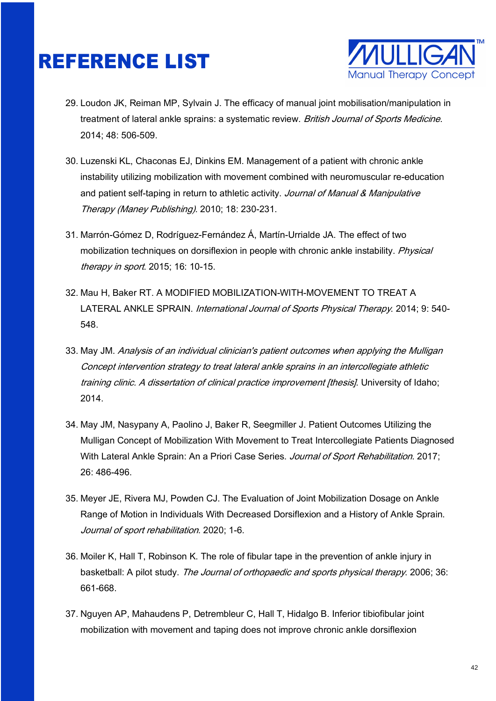

- 29. Loudon JK, Reiman MP, Sylvain J. The efficacy of manual joint mobilisation/manipulation in treatment of lateral ankle sprains: a systematic review. British Journal of Sports Medicine. 2014; 48: 506-509.
- 30. Luzenski KL, Chaconas EJ, Dinkins EM. Management of a patient with chronic ankle instability utilizing mobilization with movement combined with neuromuscular re-education and patient self-taping in return to athletic activity. Journal of Manual & Manipulative Therapy (Maney Publishing). 2010; 18: 230-231.
- 31. Marrón-Gómez D, Rodríguez-Fernández Á, Martín-Urrialde JA. The effect of two mobilization techniques on dorsiflexion in people with chronic ankle instability. *Physical* therapy in sport. 2015; 16: 10-15.
- 32. Mau H, Baker RT. A MODIFIED MOBILIZATION-WITH-MOVEMENT TO TREAT A LATERAL ANKLE SPRAIN. International Journal of Sports Physical Therapy. 2014; 9: 540-548.
- 33. May JM. Analysis of an individual clinician's patient outcomes when applying the Mulligan Concept intervention strategy to treat lateral ankle sprains in an intercollegiate athletic training clinic. A dissertation of clinical practice improvement [thesis]. University of Idaho; 2014.
- 34. May JM, Nasypany A, Paolino J, Baker R, Seegmiller J. Patient Outcomes Utilizing the Mulligan Concept of Mobilization With Movement to Treat Intercollegiate Patients Diagnosed With Lateral Ankle Sprain: An a Priori Case Series. Journal of Sport Rehabilitation. 2017; 26: 486-496.
- 35. Meyer JE, Rivera MJ, Powden CJ. The Evaluation of Joint Mobilization Dosage on Ankle Range of Motion in Individuals With Decreased Dorsiflexion and a History of Ankle Sprain. Journal of sport rehabilitation. 2020; 1-6.
- 36. Moiler K, Hall T, Robinson K. The role of fibular tape in the prevention of ankle injury in basketball: A pilot study. The Journal of orthopaedic and sports physical therapy. 2006; 36: 661-668.
- 37. Nguyen AP, Mahaudens P, Detrembleur C, Hall T, Hidalgo B. Inferior tibiofibular joint mobilization with movement and taping does not improve chronic ankle dorsiflexion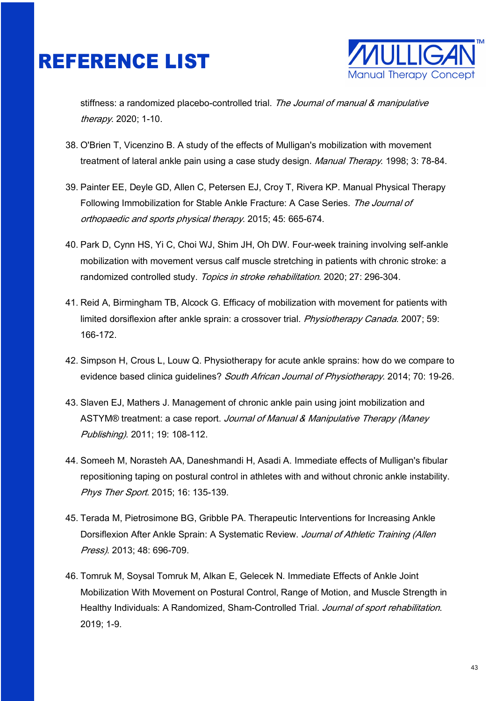

stiffness: a randomized placebo-controlled trial. The Journal of manual & manipulative therapy. 2020; 1-10.

- 38. O'Brien T, Vicenzino B. A study of the effects of Mulligan's mobilization with movement treatment of lateral ankle pain using a case study design. Manual Therapy. 1998; 3: 78-84.
- 39. Painter EE, Deyle GD, Allen C, Petersen EJ, Croy T, Rivera KP. Manual Physical Therapy Following Immobilization for Stable Ankle Fracture: A Case Series. The Journal of orthopaedic and sports physical therapy. 2015; 45: 665-674.
- 40. Park D, Cynn HS, Yi C, Choi WJ, Shim JH, Oh DW. Four-week training involving self-ankle mobilization with movement versus calf muscle stretching in patients with chronic stroke: a randomized controlled study. Topics in stroke rehabilitation. 2020; 27: 296-304.
- 41. Reid A, Birmingham TB, Alcock G. Efficacy of mobilization with movement for patients with limited dorsiflexion after ankle sprain: a crossover trial. Physiotherapy Canada. 2007; 59: 166-172.
- 42. Simpson H, Crous L, Louw Q. Physiotherapy for acute ankle sprains: how do we compare to evidence based clinica guidelines? South African Journal of Physiotherapy. 2014; 70: 19-26.
- 43. Slaven EJ, Mathers J. Management of chronic ankle pain using joint mobilization and ASTYM® treatment: a case report. Journal of Manual & Manipulative Therapy (Maney Publishing). 2011; 19: 108-112.
- 44. Someeh M, Norasteh AA, Daneshmandi H, Asadi A. Immediate effects of Mulligan's fibular repositioning taping on postural control in athletes with and without chronic ankle instability. Phys Ther Sport. 2015; 16: 135-139.
- 45. Terada M, Pietrosimone BG, Gribble PA. Therapeutic Interventions for Increasing Ankle Dorsiflexion After Ankle Sprain: A Systematic Review. Journal of Athletic Training (Allen Press). 2013; 48: 696-709.
- 46. Tomruk M, Soysal Tomruk M, Alkan E, Gelecek N. Immediate Effects of Ankle Joint Mobilization With Movement on Postural Control, Range of Motion, and Muscle Strength in Healthy Individuals: A Randomized, Sham-Controlled Trial. Journal of sport rehabilitation. 2019; 1-9.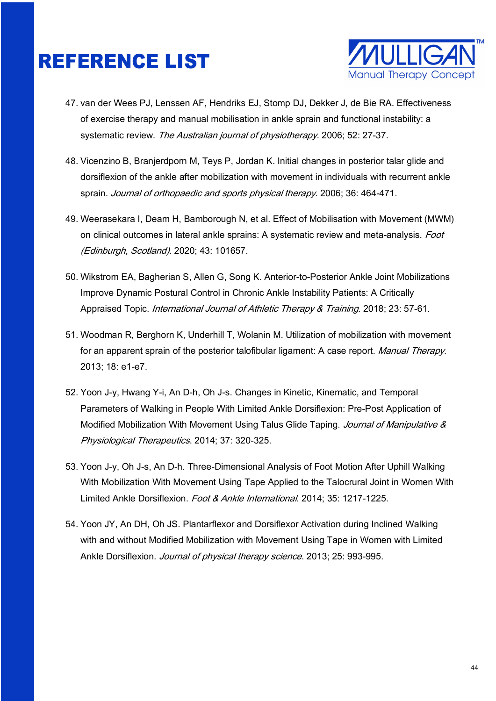

- 47. van der Wees PJ, Lenssen AF, Hendriks EJ, Stomp DJ, Dekker J, de Bie RA. Effectiveness of exercise therapy and manual mobilisation in ankle sprain and functional instability: a systematic review. The Australian journal of physiotherapy. 2006; 52: 27-37.
- 48. Vicenzino B, Branjerdporn M, Teys P, Jordan K. Initial changes in posterior talar glide and dorsiflexion of the ankle after mobilization with movement in individuals with recurrent ankle sprain. Journal of orthopaedic and sports physical therapy. 2006; 36: 464-471.
- 49. Weerasekara I, Deam H, Bamborough N, et al. Effect of Mobilisation with Movement (MWM) on clinical outcomes in lateral ankle sprains: A systematic review and meta-analysis. Foot (Edinburgh, Scotland). 2020; 43: 101657.
- 50. Wikstrom EA, Bagherian S, Allen G, Song K. Anterior-to-Posterior Ankle Joint Mobilizations Improve Dynamic Postural Control in Chronic Ankle Instability Patients: A Critically Appraised Topic. International Journal of Athletic Therapy & Training. 2018; 23: 57-61.
- 51. Woodman R, Berghorn K, Underhill T, Wolanin M. Utilization of mobilization with movement for an apparent sprain of the posterior talofibular ligament: A case report. Manual Therapy. 2013; 18: e1-e7.
- 52. Yoon J-y, Hwang Y-i, An D-h, Oh J-s. Changes in Kinetic, Kinematic, and Temporal Parameters of Walking in People With Limited Ankle Dorsiflexion: Pre-Post Application of Modified Mobilization With Movement Using Talus Glide Taping. Journal of Manipulative & Physiological Therapeutics. 2014; 37: 320-325.
- 53. Yoon J-y, Oh J-s, An D-h. Three-Dimensional Analysis of Foot Motion After Uphill Walking With Mobilization With Movement Using Tape Applied to the Talocrural Joint in Women With Limited Ankle Dorsiflexion. Foot & Ankle International. 2014; 35: 1217-1225.
- 54. Yoon JY, An DH, Oh JS. Plantarflexor and Dorsiflexor Activation during Inclined Walking with and without Modified Mobilization with Movement Using Tape in Women with Limited Ankle Dorsiflexion. Journal of physical therapy science. 2013; 25: 993-995.